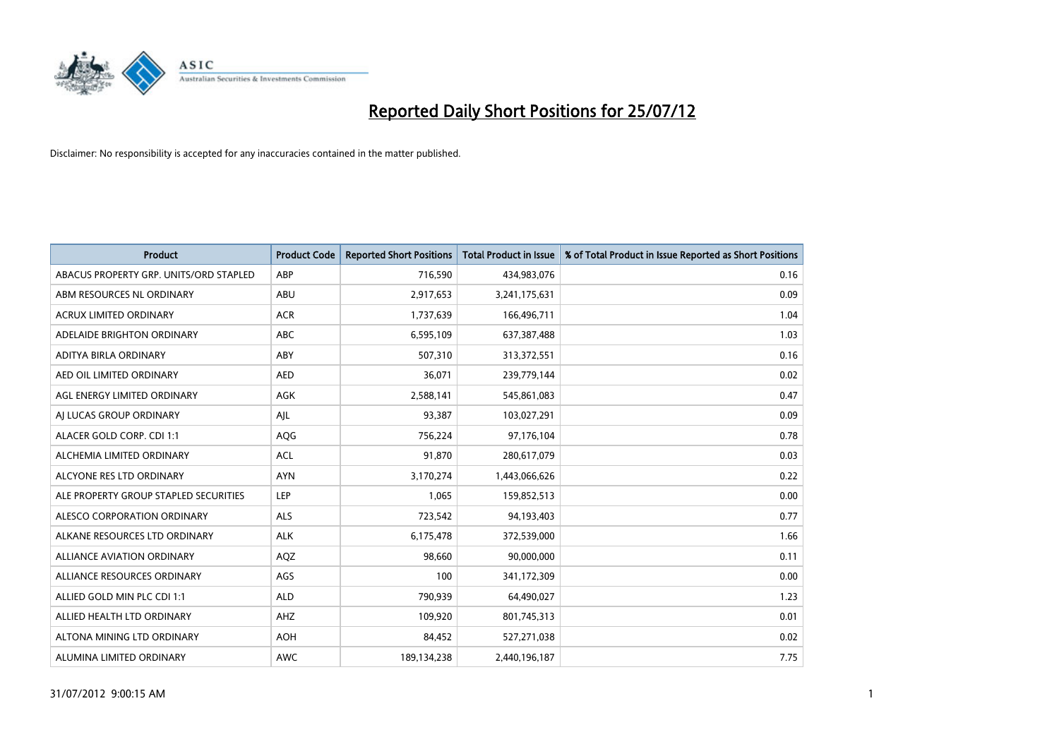

| <b>Product</b>                         | <b>Product Code</b> | <b>Reported Short Positions</b> | <b>Total Product in Issue</b> | % of Total Product in Issue Reported as Short Positions |
|----------------------------------------|---------------------|---------------------------------|-------------------------------|---------------------------------------------------------|
| ABACUS PROPERTY GRP. UNITS/ORD STAPLED | ABP                 | 716,590                         | 434,983,076                   | 0.16                                                    |
| ABM RESOURCES NL ORDINARY              | <b>ABU</b>          | 2,917,653                       | 3,241,175,631                 | 0.09                                                    |
| ACRUX LIMITED ORDINARY                 | <b>ACR</b>          | 1,737,639                       | 166,496,711                   | 1.04                                                    |
| ADELAIDE BRIGHTON ORDINARY             | <b>ABC</b>          | 6,595,109                       | 637,387,488                   | 1.03                                                    |
| ADITYA BIRLA ORDINARY                  | ABY                 | 507,310                         | 313,372,551                   | 0.16                                                    |
| AED OIL LIMITED ORDINARY               | <b>AED</b>          | 36,071                          | 239,779,144                   | 0.02                                                    |
| AGL ENERGY LIMITED ORDINARY            | AGK                 | 2,588,141                       | 545,861,083                   | 0.47                                                    |
| AI LUCAS GROUP ORDINARY                | AJL                 | 93,387                          | 103,027,291                   | 0.09                                                    |
| ALACER GOLD CORP. CDI 1:1              | AQG                 | 756,224                         | 97,176,104                    | 0.78                                                    |
| ALCHEMIA LIMITED ORDINARY              | <b>ACL</b>          | 91,870                          | 280,617,079                   | 0.03                                                    |
| ALCYONE RES LTD ORDINARY               | <b>AYN</b>          | 3,170,274                       | 1,443,066,626                 | 0.22                                                    |
| ALE PROPERTY GROUP STAPLED SECURITIES  | LEP                 | 1,065                           | 159,852,513                   | 0.00                                                    |
| ALESCO CORPORATION ORDINARY            | <b>ALS</b>          | 723,542                         | 94,193,403                    | 0.77                                                    |
| ALKANE RESOURCES LTD ORDINARY          | <b>ALK</b>          | 6,175,478                       | 372,539,000                   | 1.66                                                    |
| <b>ALLIANCE AVIATION ORDINARY</b>      | AQZ                 | 98,660                          | 90,000,000                    | 0.11                                                    |
| ALLIANCE RESOURCES ORDINARY            | AGS                 | 100                             | 341,172,309                   | 0.00                                                    |
| ALLIED GOLD MIN PLC CDI 1:1            | <b>ALD</b>          | 790,939                         | 64,490,027                    | 1.23                                                    |
| ALLIED HEALTH LTD ORDINARY             | AHZ                 | 109,920                         | 801,745,313                   | 0.01                                                    |
| ALTONA MINING LTD ORDINARY             | <b>AOH</b>          | 84,452                          | 527,271,038                   | 0.02                                                    |
| ALUMINA LIMITED ORDINARY               | <b>AWC</b>          | 189,134,238                     | 2,440,196,187                 | 7.75                                                    |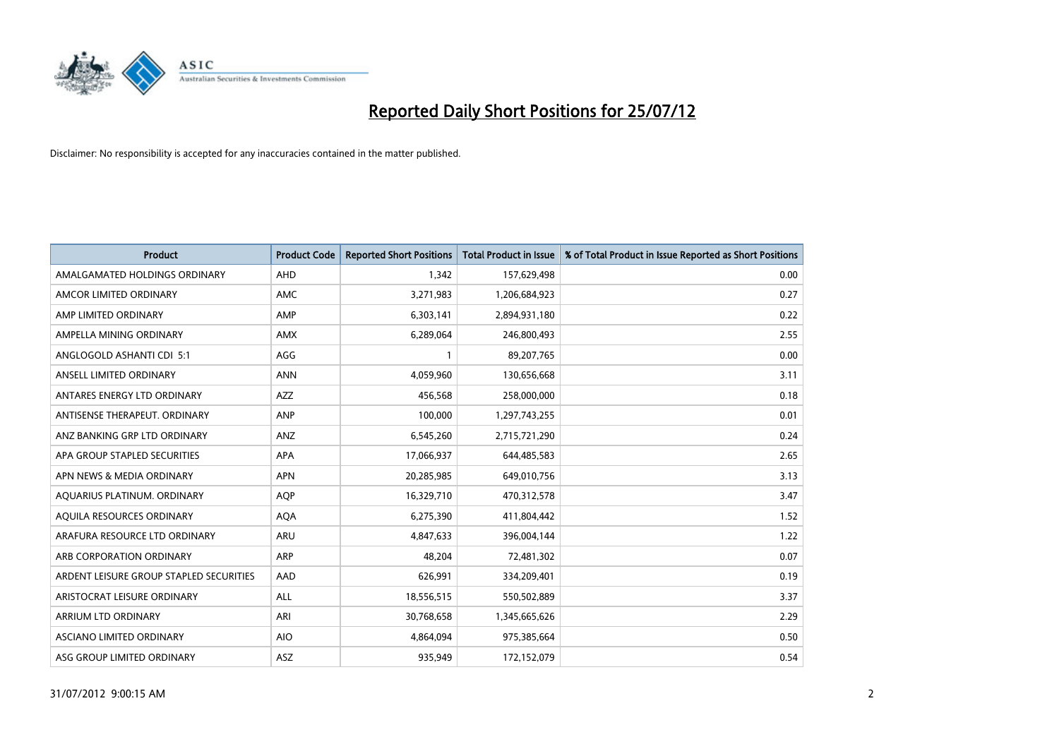

| <b>Product</b>                          | <b>Product Code</b> | <b>Reported Short Positions</b> | <b>Total Product in Issue</b> | % of Total Product in Issue Reported as Short Positions |
|-----------------------------------------|---------------------|---------------------------------|-------------------------------|---------------------------------------------------------|
| AMALGAMATED HOLDINGS ORDINARY           | <b>AHD</b>          | 1,342                           | 157,629,498                   | 0.00                                                    |
| AMCOR LIMITED ORDINARY                  | <b>AMC</b>          | 3,271,983                       | 1,206,684,923                 | 0.27                                                    |
| AMP LIMITED ORDINARY                    | AMP                 | 6,303,141                       | 2,894,931,180                 | 0.22                                                    |
| AMPELLA MINING ORDINARY                 | <b>AMX</b>          | 6,289,064                       | 246,800,493                   | 2.55                                                    |
| ANGLOGOLD ASHANTI CDI 5:1               | AGG                 |                                 | 89,207,765                    | 0.00                                                    |
| ANSELL LIMITED ORDINARY                 | <b>ANN</b>          | 4,059,960                       | 130,656,668                   | 3.11                                                    |
| ANTARES ENERGY LTD ORDINARY             | <b>AZZ</b>          | 456,568                         | 258,000,000                   | 0.18                                                    |
| ANTISENSE THERAPEUT, ORDINARY           | <b>ANP</b>          | 100,000                         | 1,297,743,255                 | 0.01                                                    |
| ANZ BANKING GRP LTD ORDINARY            | ANZ                 | 6,545,260                       | 2,715,721,290                 | 0.24                                                    |
| APA GROUP STAPLED SECURITIES            | <b>APA</b>          | 17,066,937                      | 644,485,583                   | 2.65                                                    |
| APN NEWS & MEDIA ORDINARY               | <b>APN</b>          | 20,285,985                      | 649,010,756                   | 3.13                                                    |
| AQUARIUS PLATINUM. ORDINARY             | <b>AOP</b>          | 16,329,710                      | 470,312,578                   | 3.47                                                    |
| AQUILA RESOURCES ORDINARY               | <b>AQA</b>          | 6,275,390                       | 411,804,442                   | 1.52                                                    |
| ARAFURA RESOURCE LTD ORDINARY           | <b>ARU</b>          | 4,847,633                       | 396,004,144                   | 1.22                                                    |
| ARB CORPORATION ORDINARY                | <b>ARP</b>          | 48,204                          | 72,481,302                    | 0.07                                                    |
| ARDENT LEISURE GROUP STAPLED SECURITIES | AAD                 | 626,991                         | 334,209,401                   | 0.19                                                    |
| ARISTOCRAT LEISURE ORDINARY             | <b>ALL</b>          | 18,556,515                      | 550,502,889                   | 3.37                                                    |
| ARRIUM LTD ORDINARY                     | ARI                 | 30,768,658                      | 1,345,665,626                 | 2.29                                                    |
| ASCIANO LIMITED ORDINARY                | <b>AIO</b>          | 4,864,094                       | 975,385,664                   | 0.50                                                    |
| ASG GROUP LIMITED ORDINARY              | <b>ASZ</b>          | 935.949                         | 172,152,079                   | 0.54                                                    |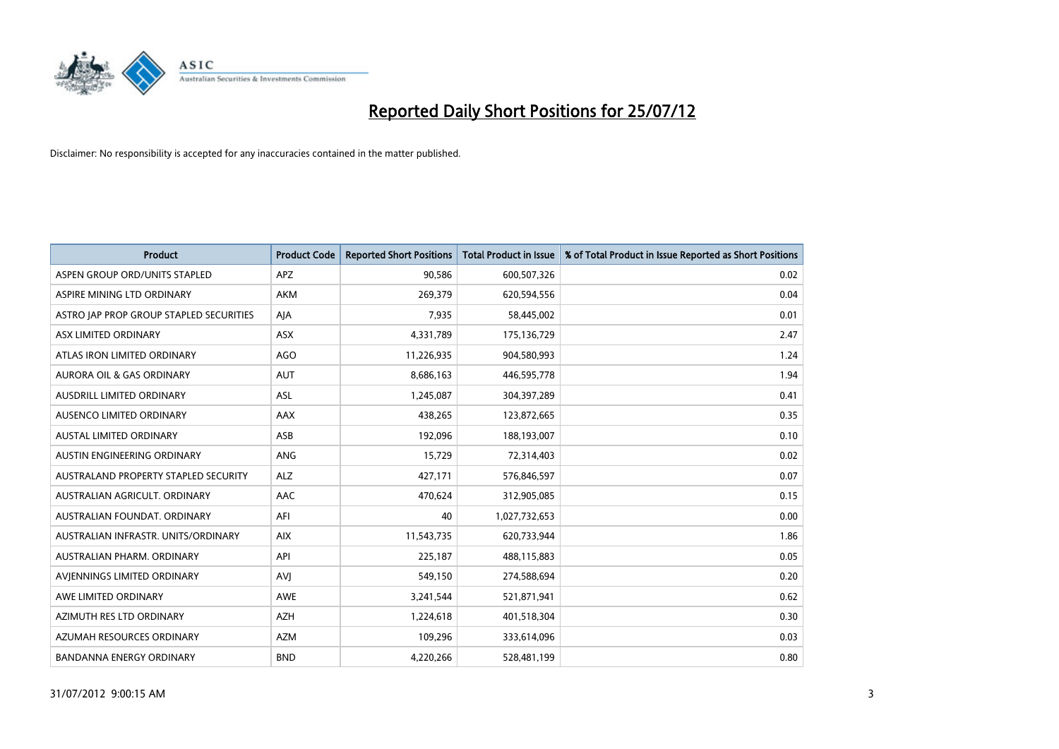

| <b>Product</b>                          | <b>Product Code</b> | <b>Reported Short Positions</b> | <b>Total Product in Issue</b> | % of Total Product in Issue Reported as Short Positions |
|-----------------------------------------|---------------------|---------------------------------|-------------------------------|---------------------------------------------------------|
| ASPEN GROUP ORD/UNITS STAPLED           | <b>APZ</b>          | 90,586                          | 600,507,326                   | 0.02                                                    |
| ASPIRE MINING LTD ORDINARY              | <b>AKM</b>          | 269,379                         | 620,594,556                   | 0.04                                                    |
| ASTRO JAP PROP GROUP STAPLED SECURITIES | AJA                 | 7,935                           | 58,445,002                    | 0.01                                                    |
| ASX LIMITED ORDINARY                    | ASX                 | 4,331,789                       | 175,136,729                   | 2.47                                                    |
| ATLAS IRON LIMITED ORDINARY             | AGO                 | 11,226,935                      | 904,580,993                   | 1.24                                                    |
| <b>AURORA OIL &amp; GAS ORDINARY</b>    | <b>AUT</b>          | 8,686,163                       | 446,595,778                   | 1.94                                                    |
| AUSDRILL LIMITED ORDINARY               | <b>ASL</b>          | 1,245,087                       | 304,397,289                   | 0.41                                                    |
| AUSENCO LIMITED ORDINARY                | AAX                 | 438,265                         | 123,872,665                   | 0.35                                                    |
| <b>AUSTAL LIMITED ORDINARY</b>          | ASB                 | 192,096                         | 188,193,007                   | 0.10                                                    |
| AUSTIN ENGINEERING ORDINARY             | ANG                 | 15,729                          | 72,314,403                    | 0.02                                                    |
| AUSTRALAND PROPERTY STAPLED SECURITY    | <b>ALZ</b>          | 427,171                         | 576,846,597                   | 0.07                                                    |
| AUSTRALIAN AGRICULT, ORDINARY           | AAC                 | 470,624                         | 312,905,085                   | 0.15                                                    |
| AUSTRALIAN FOUNDAT. ORDINARY            | AFI                 | 40                              | 1,027,732,653                 | 0.00                                                    |
| AUSTRALIAN INFRASTR. UNITS/ORDINARY     | <b>AIX</b>          | 11,543,735                      | 620,733,944                   | 1.86                                                    |
| AUSTRALIAN PHARM, ORDINARY              | API                 | 225,187                         | 488,115,883                   | 0.05                                                    |
| AVIENNINGS LIMITED ORDINARY             | AVI                 | 549,150                         | 274,588,694                   | 0.20                                                    |
| AWE LIMITED ORDINARY                    | AWE                 | 3,241,544                       | 521,871,941                   | 0.62                                                    |
| AZIMUTH RES LTD ORDINARY                | <b>AZH</b>          | 1,224,618                       | 401,518,304                   | 0.30                                                    |
| AZUMAH RESOURCES ORDINARY               | <b>AZM</b>          | 109,296                         | 333,614,096                   | 0.03                                                    |
| <b>BANDANNA ENERGY ORDINARY</b>         | <b>BND</b>          | 4,220,266                       | 528,481,199                   | 0.80                                                    |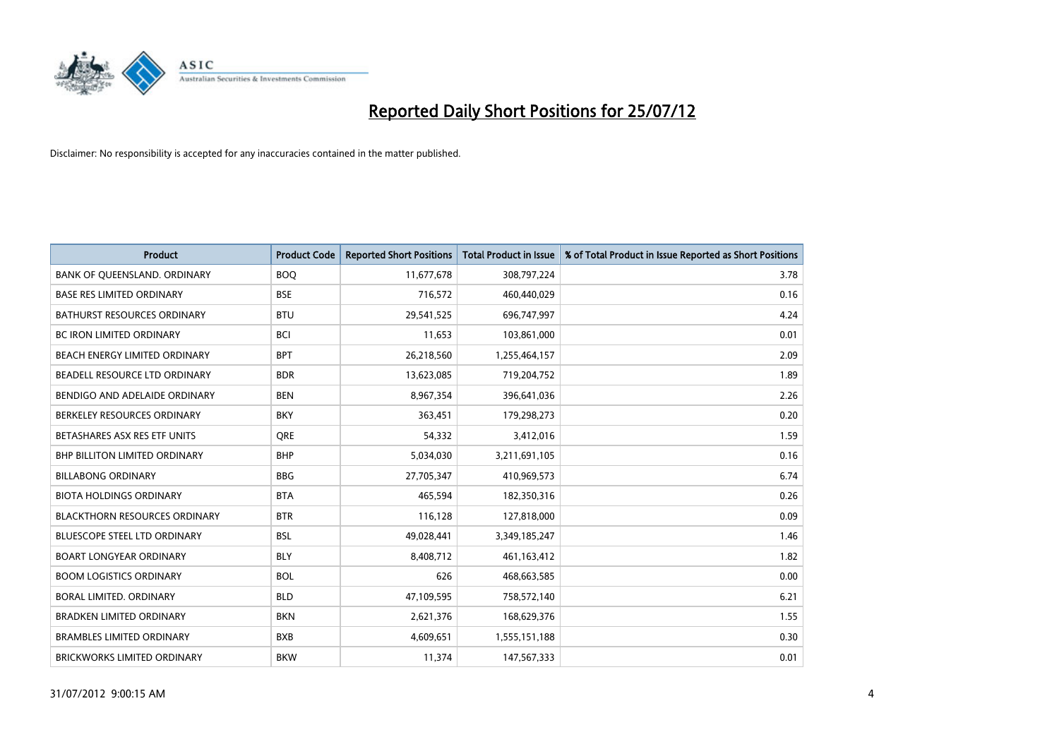

| <b>Product</b>                       | <b>Product Code</b> | <b>Reported Short Positions</b> | <b>Total Product in Issue</b> | % of Total Product in Issue Reported as Short Positions |
|--------------------------------------|---------------------|---------------------------------|-------------------------------|---------------------------------------------------------|
| BANK OF QUEENSLAND. ORDINARY         | <b>BOQ</b>          | 11,677,678                      | 308,797,224                   | 3.78                                                    |
| <b>BASE RES LIMITED ORDINARY</b>     | <b>BSE</b>          | 716,572                         | 460,440,029                   | 0.16                                                    |
| <b>BATHURST RESOURCES ORDINARY</b>   | <b>BTU</b>          | 29,541,525                      | 696,747,997                   | 4.24                                                    |
| <b>BC IRON LIMITED ORDINARY</b>      | <b>BCI</b>          | 11,653                          | 103,861,000                   | 0.01                                                    |
| BEACH ENERGY LIMITED ORDINARY        | <b>BPT</b>          | 26,218,560                      | 1,255,464,157                 | 2.09                                                    |
| BEADELL RESOURCE LTD ORDINARY        | <b>BDR</b>          | 13,623,085                      | 719,204,752                   | 1.89                                                    |
| BENDIGO AND ADELAIDE ORDINARY        | <b>BEN</b>          | 8,967,354                       | 396,641,036                   | 2.26                                                    |
| BERKELEY RESOURCES ORDINARY          | <b>BKY</b>          | 363,451                         | 179,298,273                   | 0.20                                                    |
| BETASHARES ASX RES ETF UNITS         | <b>ORE</b>          | 54,332                          | 3,412,016                     | 1.59                                                    |
| <b>BHP BILLITON LIMITED ORDINARY</b> | <b>BHP</b>          | 5,034,030                       | 3,211,691,105                 | 0.16                                                    |
| <b>BILLABONG ORDINARY</b>            | <b>BBG</b>          | 27,705,347                      | 410,969,573                   | 6.74                                                    |
| <b>BIOTA HOLDINGS ORDINARY</b>       | <b>BTA</b>          | 465,594                         | 182,350,316                   | 0.26                                                    |
| <b>BLACKTHORN RESOURCES ORDINARY</b> | <b>BTR</b>          | 116,128                         | 127,818,000                   | 0.09                                                    |
| <b>BLUESCOPE STEEL LTD ORDINARY</b>  | <b>BSL</b>          | 49,028,441                      | 3,349,185,247                 | 1.46                                                    |
| <b>BOART LONGYEAR ORDINARY</b>       | <b>BLY</b>          | 8,408,712                       | 461,163,412                   | 1.82                                                    |
| <b>BOOM LOGISTICS ORDINARY</b>       | <b>BOL</b>          | 626                             | 468,663,585                   | 0.00                                                    |
| BORAL LIMITED, ORDINARY              | <b>BLD</b>          | 47,109,595                      | 758,572,140                   | 6.21                                                    |
| <b>BRADKEN LIMITED ORDINARY</b>      | <b>BKN</b>          | 2,621,376                       | 168,629,376                   | 1.55                                                    |
| <b>BRAMBLES LIMITED ORDINARY</b>     | <b>BXB</b>          | 4,609,651                       | 1,555,151,188                 | 0.30                                                    |
| BRICKWORKS LIMITED ORDINARY          | <b>BKW</b>          | 11,374                          | 147,567,333                   | 0.01                                                    |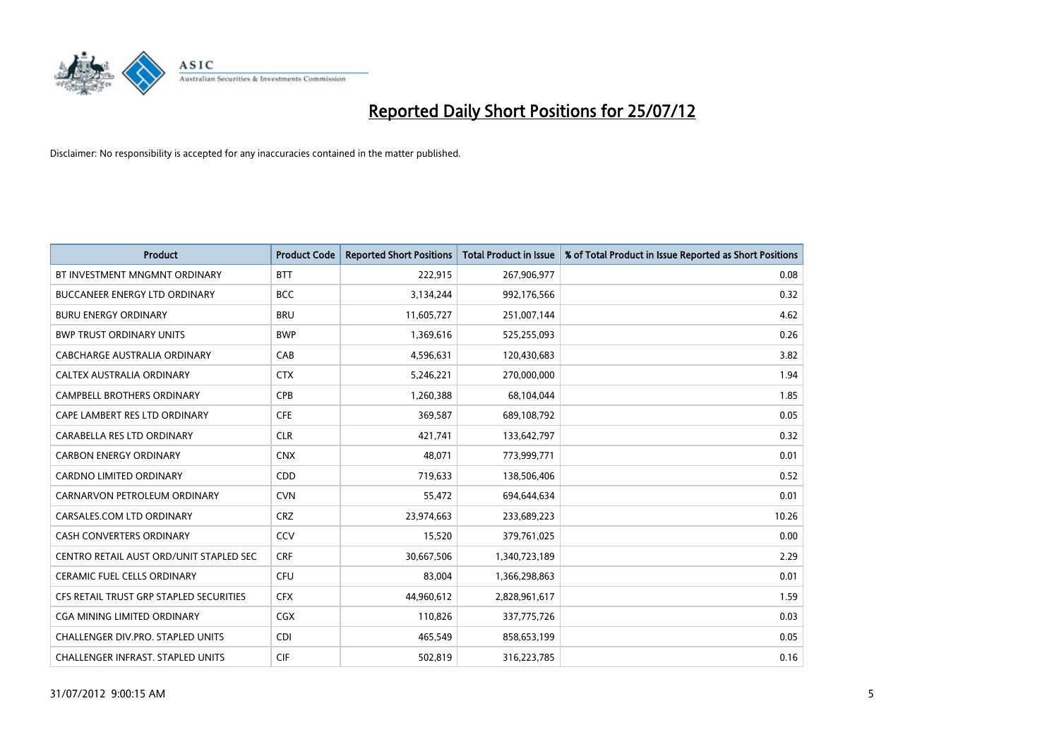

| <b>Product</b>                          | <b>Product Code</b> | <b>Reported Short Positions</b> | <b>Total Product in Issue</b> | % of Total Product in Issue Reported as Short Positions |
|-----------------------------------------|---------------------|---------------------------------|-------------------------------|---------------------------------------------------------|
| BT INVESTMENT MNGMNT ORDINARY           | <b>BTT</b>          | 222,915                         | 267,906,977                   | 0.08                                                    |
| <b>BUCCANEER ENERGY LTD ORDINARY</b>    | <b>BCC</b>          | 3,134,244                       | 992,176,566                   | 0.32                                                    |
| <b>BURU ENERGY ORDINARY</b>             | <b>BRU</b>          | 11,605,727                      | 251,007,144                   | 4.62                                                    |
| <b>BWP TRUST ORDINARY UNITS</b>         | <b>BWP</b>          | 1,369,616                       | 525,255,093                   | 0.26                                                    |
| CABCHARGE AUSTRALIA ORDINARY            | CAB                 | 4,596,631                       | 120,430,683                   | 3.82                                                    |
| <b>CALTEX AUSTRALIA ORDINARY</b>        | <b>CTX</b>          | 5,246,221                       | 270,000,000                   | 1.94                                                    |
| <b>CAMPBELL BROTHERS ORDINARY</b>       | <b>CPB</b>          | 1,260,388                       | 68,104,044                    | 1.85                                                    |
| CAPE LAMBERT RES LTD ORDINARY           | <b>CFE</b>          | 369,587                         | 689,108,792                   | 0.05                                                    |
| CARABELLA RES LTD ORDINARY              | <b>CLR</b>          | 421,741                         | 133,642,797                   | 0.32                                                    |
| <b>CARBON ENERGY ORDINARY</b>           | <b>CNX</b>          | 48,071                          | 773,999,771                   | 0.01                                                    |
| CARDNO LIMITED ORDINARY                 | <b>CDD</b>          | 719,633                         | 138,506,406                   | 0.52                                                    |
| CARNARVON PETROLEUM ORDINARY            | <b>CVN</b>          | 55,472                          | 694,644,634                   | 0.01                                                    |
| CARSALES.COM LTD ORDINARY               | <b>CRZ</b>          | 23,974,663                      | 233,689,223                   | 10.26                                                   |
| <b>CASH CONVERTERS ORDINARY</b>         | CCV                 | 15,520                          | 379,761,025                   | 0.00                                                    |
| CENTRO RETAIL AUST ORD/UNIT STAPLED SEC | <b>CRF</b>          | 30,667,506                      | 1,340,723,189                 | 2.29                                                    |
| CERAMIC FUEL CELLS ORDINARY             | CFU                 | 83,004                          | 1,366,298,863                 | 0.01                                                    |
| CFS RETAIL TRUST GRP STAPLED SECURITIES | <b>CFX</b>          | 44,960,612                      | 2,828,961,617                 | 1.59                                                    |
| <b>CGA MINING LIMITED ORDINARY</b>      | CGX                 | 110,826                         | 337,775,726                   | 0.03                                                    |
| CHALLENGER DIV.PRO. STAPLED UNITS       | <b>CDI</b>          | 465,549                         | 858,653,199                   | 0.05                                                    |
| CHALLENGER INFRAST. STAPLED UNITS       | <b>CIF</b>          | 502,819                         | 316,223,785                   | 0.16                                                    |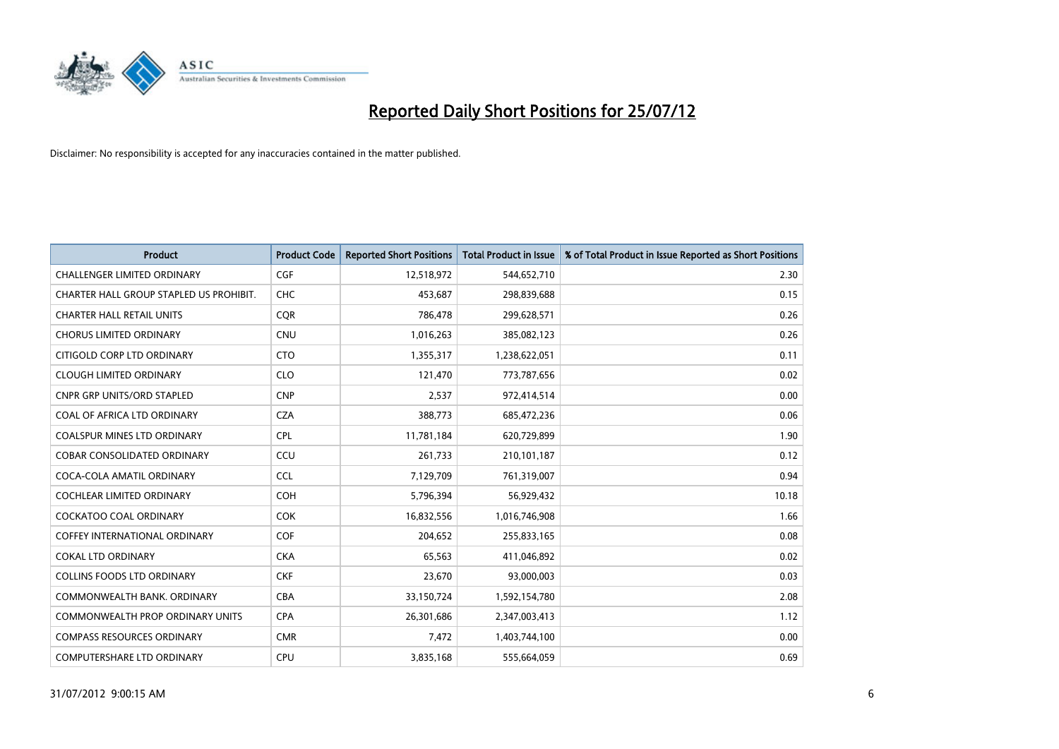

| <b>Product</b>                          | <b>Product Code</b> | <b>Reported Short Positions</b> | <b>Total Product in Issue</b> | % of Total Product in Issue Reported as Short Positions |
|-----------------------------------------|---------------------|---------------------------------|-------------------------------|---------------------------------------------------------|
| <b>CHALLENGER LIMITED ORDINARY</b>      | <b>CGF</b>          | 12,518,972                      | 544,652,710                   | 2.30                                                    |
| CHARTER HALL GROUP STAPLED US PROHIBIT. | <b>CHC</b>          | 453,687                         | 298,839,688                   | 0.15                                                    |
| <b>CHARTER HALL RETAIL UNITS</b>        | <b>COR</b>          | 786,478                         | 299,628,571                   | 0.26                                                    |
| <b>CHORUS LIMITED ORDINARY</b>          | <b>CNU</b>          | 1,016,263                       | 385,082,123                   | 0.26                                                    |
| CITIGOLD CORP LTD ORDINARY              | <b>CTO</b>          | 1,355,317                       | 1,238,622,051                 | 0.11                                                    |
| <b>CLOUGH LIMITED ORDINARY</b>          | <b>CLO</b>          | 121,470                         | 773,787,656                   | 0.02                                                    |
| <b>CNPR GRP UNITS/ORD STAPLED</b>       | <b>CNP</b>          | 2,537                           | 972,414,514                   | 0.00                                                    |
| COAL OF AFRICA LTD ORDINARY             | <b>CZA</b>          | 388,773                         | 685,472,236                   | 0.06                                                    |
| COALSPUR MINES LTD ORDINARY             | <b>CPL</b>          | 11,781,184                      | 620,729,899                   | 1.90                                                    |
| <b>COBAR CONSOLIDATED ORDINARY</b>      | CCU                 | 261,733                         | 210,101,187                   | 0.12                                                    |
| COCA-COLA AMATIL ORDINARY               | <b>CCL</b>          | 7,129,709                       | 761,319,007                   | 0.94                                                    |
| COCHLEAR LIMITED ORDINARY               | <b>COH</b>          | 5,796,394                       | 56,929,432                    | 10.18                                                   |
| <b>COCKATOO COAL ORDINARY</b>           | <b>COK</b>          | 16,832,556                      | 1,016,746,908                 | 1.66                                                    |
| <b>COFFEY INTERNATIONAL ORDINARY</b>    | <b>COF</b>          | 204,652                         | 255,833,165                   | 0.08                                                    |
| <b>COKAL LTD ORDINARY</b>               | <b>CKA</b>          | 65,563                          | 411,046,892                   | 0.02                                                    |
| <b>COLLINS FOODS LTD ORDINARY</b>       | <b>CKF</b>          | 23,670                          | 93,000,003                    | 0.03                                                    |
| COMMONWEALTH BANK, ORDINARY             | <b>CBA</b>          | 33,150,724                      | 1,592,154,780                 | 2.08                                                    |
| COMMONWEALTH PROP ORDINARY UNITS        | <b>CPA</b>          | 26,301,686                      | 2,347,003,413                 | 1.12                                                    |
| <b>COMPASS RESOURCES ORDINARY</b>       | <b>CMR</b>          | 7,472                           | 1,403,744,100                 | 0.00                                                    |
| COMPUTERSHARE LTD ORDINARY              | <b>CPU</b>          | 3,835,168                       | 555,664,059                   | 0.69                                                    |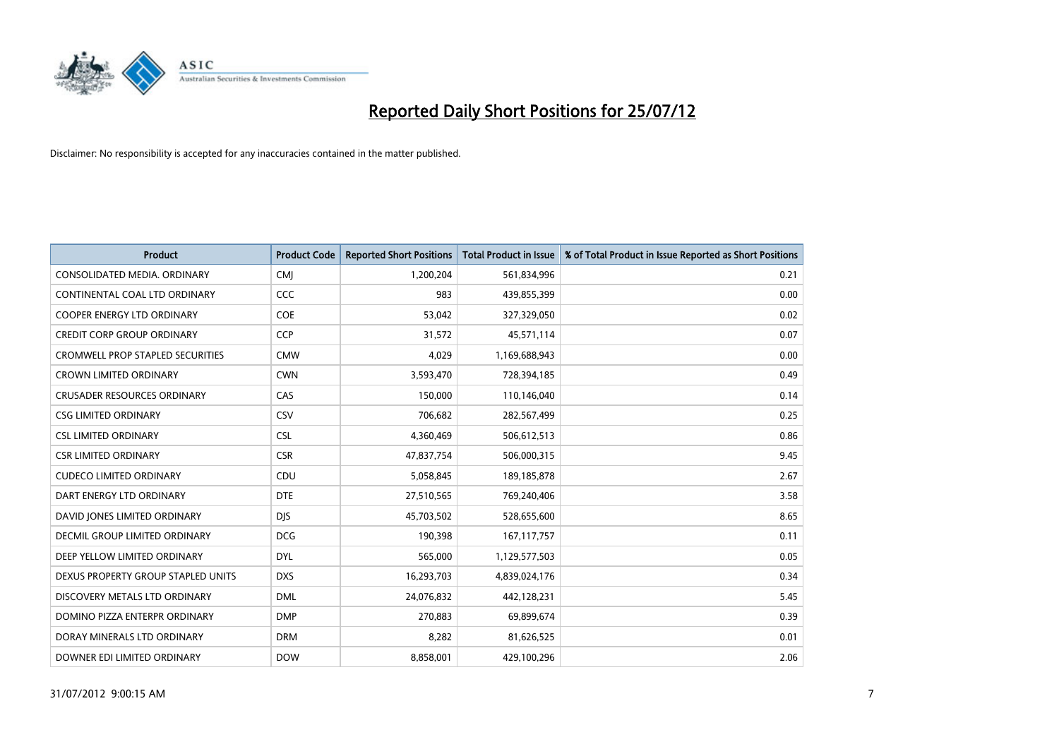

| <b>Product</b>                          | <b>Product Code</b> | <b>Reported Short Positions</b> | Total Product in Issue | % of Total Product in Issue Reported as Short Positions |
|-----------------------------------------|---------------------|---------------------------------|------------------------|---------------------------------------------------------|
| CONSOLIDATED MEDIA, ORDINARY            | <b>CMI</b>          | 1,200,204                       | 561,834,996            | 0.21                                                    |
| CONTINENTAL COAL LTD ORDINARY           | CCC                 | 983                             | 439,855,399            | 0.00                                                    |
| <b>COOPER ENERGY LTD ORDINARY</b>       | COE                 | 53,042                          | 327,329,050            | 0.02                                                    |
| <b>CREDIT CORP GROUP ORDINARY</b>       | <b>CCP</b>          | 31,572                          | 45,571,114             | 0.07                                                    |
| <b>CROMWELL PROP STAPLED SECURITIES</b> | <b>CMW</b>          | 4,029                           | 1,169,688,943          | 0.00                                                    |
| <b>CROWN LIMITED ORDINARY</b>           | <b>CWN</b>          | 3,593,470                       | 728,394,185            | 0.49                                                    |
| <b>CRUSADER RESOURCES ORDINARY</b>      | CAS                 | 150,000                         | 110,146,040            | 0.14                                                    |
| <b>CSG LIMITED ORDINARY</b>             | CSV                 | 706,682                         | 282,567,499            | 0.25                                                    |
| <b>CSL LIMITED ORDINARY</b>             | <b>CSL</b>          | 4,360,469                       | 506,612,513            | 0.86                                                    |
| <b>CSR LIMITED ORDINARY</b>             | <b>CSR</b>          | 47,837,754                      | 506,000,315            | 9.45                                                    |
| <b>CUDECO LIMITED ORDINARY</b>          | CDU                 | 5,058,845                       | 189, 185, 878          | 2.67                                                    |
| DART ENERGY LTD ORDINARY                | <b>DTE</b>          | 27,510,565                      | 769,240,406            | 3.58                                                    |
| DAVID JONES LIMITED ORDINARY            | <b>DJS</b>          | 45,703,502                      | 528,655,600            | 8.65                                                    |
| DECMIL GROUP LIMITED ORDINARY           | <b>DCG</b>          | 190,398                         | 167, 117, 757          | 0.11                                                    |
| DEEP YELLOW LIMITED ORDINARY            | <b>DYL</b>          | 565,000                         | 1,129,577,503          | 0.05                                                    |
| DEXUS PROPERTY GROUP STAPLED UNITS      | <b>DXS</b>          | 16,293,703                      | 4,839,024,176          | 0.34                                                    |
| DISCOVERY METALS LTD ORDINARY           | <b>DML</b>          | 24,076,832                      | 442,128,231            | 5.45                                                    |
| DOMINO PIZZA ENTERPR ORDINARY           | <b>DMP</b>          | 270,883                         | 69,899,674             | 0.39                                                    |
| DORAY MINERALS LTD ORDINARY             | <b>DRM</b>          | 8,282                           | 81,626,525             | 0.01                                                    |
| DOWNER EDI LIMITED ORDINARY             | <b>DOW</b>          | 8,858,001                       | 429,100,296            | 2.06                                                    |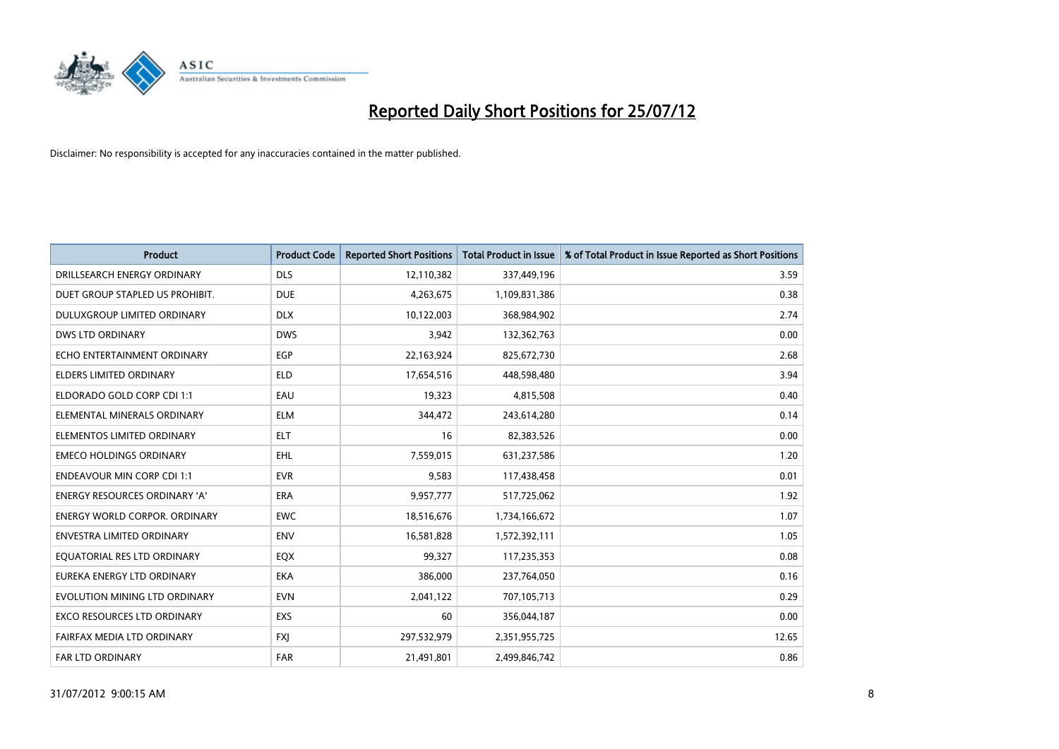

| <b>Product</b>                       | <b>Product Code</b> | <b>Reported Short Positions</b> | <b>Total Product in Issue</b> | % of Total Product in Issue Reported as Short Positions |
|--------------------------------------|---------------------|---------------------------------|-------------------------------|---------------------------------------------------------|
| DRILLSEARCH ENERGY ORDINARY          | <b>DLS</b>          | 12,110,382                      | 337,449,196                   | 3.59                                                    |
| DUET GROUP STAPLED US PROHIBIT.      | <b>DUE</b>          | 4,263,675                       | 1,109,831,386                 | 0.38                                                    |
| <b>DULUXGROUP LIMITED ORDINARY</b>   | <b>DLX</b>          | 10,122,003                      | 368,984,902                   | 2.74                                                    |
| DWS LTD ORDINARY                     | <b>DWS</b>          | 3,942                           | 132,362,763                   | 0.00                                                    |
| ECHO ENTERTAINMENT ORDINARY          | <b>EGP</b>          | 22,163,924                      | 825,672,730                   | 2.68                                                    |
| <b>ELDERS LIMITED ORDINARY</b>       | <b>ELD</b>          | 17,654,516                      | 448,598,480                   | 3.94                                                    |
| ELDORADO GOLD CORP CDI 1:1           | EAU                 | 19,323                          | 4,815,508                     | 0.40                                                    |
| ELEMENTAL MINERALS ORDINARY          | <b>ELM</b>          | 344,472                         | 243,614,280                   | 0.14                                                    |
| ELEMENTOS LIMITED ORDINARY           | <b>ELT</b>          | 16                              | 82,383,526                    | 0.00                                                    |
| <b>EMECO HOLDINGS ORDINARY</b>       | EHL.                | 7,559,015                       | 631,237,586                   | 1.20                                                    |
| <b>ENDEAVOUR MIN CORP CDI 1:1</b>    | <b>EVR</b>          | 9,583                           | 117,438,458                   | 0.01                                                    |
| <b>ENERGY RESOURCES ORDINARY 'A'</b> | <b>ERA</b>          | 9,957,777                       | 517,725,062                   | 1.92                                                    |
| <b>ENERGY WORLD CORPOR. ORDINARY</b> | <b>EWC</b>          | 18,516,676                      | 1,734,166,672                 | 1.07                                                    |
| <b>ENVESTRA LIMITED ORDINARY</b>     | <b>ENV</b>          | 16,581,828                      | 1,572,392,111                 | 1.05                                                    |
| EQUATORIAL RES LTD ORDINARY          | EQX                 | 99,327                          | 117,235,353                   | 0.08                                                    |
| EUREKA ENERGY LTD ORDINARY           | <b>EKA</b>          | 386,000                         | 237,764,050                   | 0.16                                                    |
| EVOLUTION MINING LTD ORDINARY        | <b>EVN</b>          | 2,041,122                       | 707,105,713                   | 0.29                                                    |
| EXCO RESOURCES LTD ORDINARY          | EXS                 | 60                              | 356,044,187                   | 0.00                                                    |
| FAIRFAX MEDIA LTD ORDINARY           | <b>FXI</b>          | 297,532,979                     | 2,351,955,725                 | 12.65                                                   |
| FAR LTD ORDINARY                     | <b>FAR</b>          | 21,491,801                      | 2,499,846,742                 | 0.86                                                    |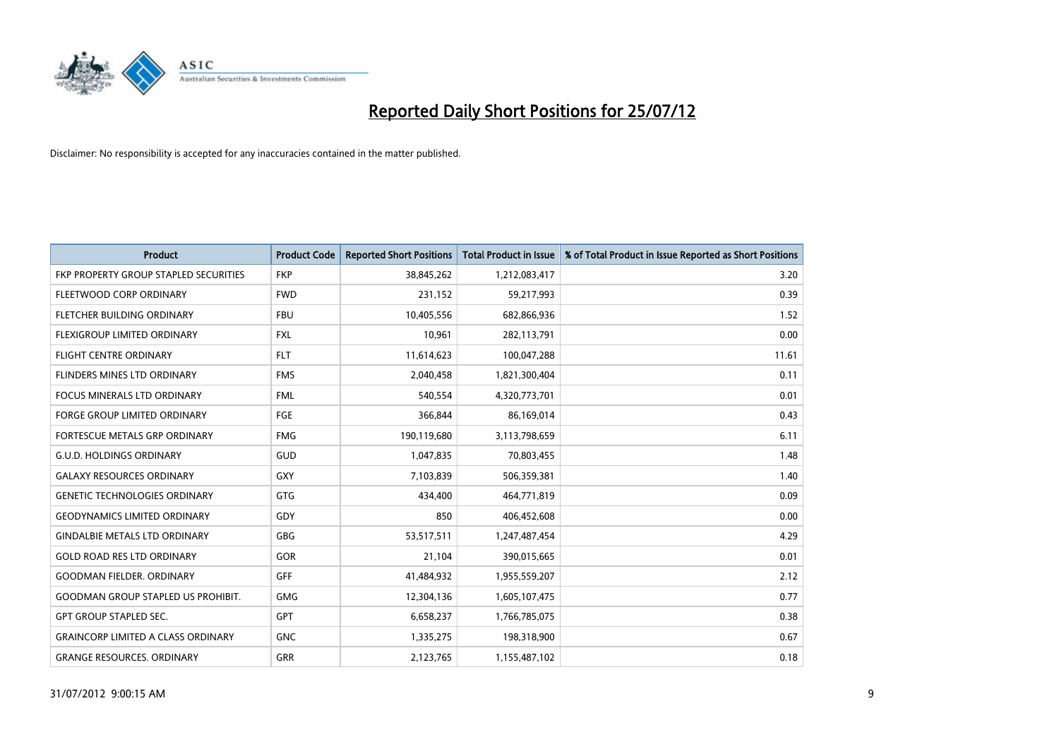

| <b>Product</b>                            | <b>Product Code</b> | <b>Reported Short Positions</b> | <b>Total Product in Issue</b> | % of Total Product in Issue Reported as Short Positions |
|-------------------------------------------|---------------------|---------------------------------|-------------------------------|---------------------------------------------------------|
| FKP PROPERTY GROUP STAPLED SECURITIES     | <b>FKP</b>          | 38,845,262                      | 1,212,083,417                 | 3.20                                                    |
| FLEETWOOD CORP ORDINARY                   | <b>FWD</b>          | 231,152                         | 59,217,993                    | 0.39                                                    |
| FLETCHER BUILDING ORDINARY                | <b>FBU</b>          | 10,405,556                      | 682,866,936                   | 1.52                                                    |
| FLEXIGROUP LIMITED ORDINARY               | <b>FXL</b>          | 10,961                          | 282,113,791                   | 0.00                                                    |
| <b>FLIGHT CENTRE ORDINARY</b>             | <b>FLT</b>          | 11,614,623                      | 100,047,288                   | 11.61                                                   |
| FLINDERS MINES LTD ORDINARY               | <b>FMS</b>          | 2,040,458                       | 1,821,300,404                 | 0.11                                                    |
| <b>FOCUS MINERALS LTD ORDINARY</b>        | <b>FML</b>          | 540,554                         | 4,320,773,701                 | 0.01                                                    |
| <b>FORGE GROUP LIMITED ORDINARY</b>       | <b>FGE</b>          | 366,844                         | 86,169,014                    | 0.43                                                    |
| FORTESCUE METALS GRP ORDINARY             | <b>FMG</b>          | 190,119,680                     | 3,113,798,659                 | 6.11                                                    |
| <b>G.U.D. HOLDINGS ORDINARY</b>           | <b>GUD</b>          | 1,047,835                       | 70,803,455                    | 1.48                                                    |
| <b>GALAXY RESOURCES ORDINARY</b>          | <b>GXY</b>          | 7,103,839                       | 506,359,381                   | 1.40                                                    |
| <b>GENETIC TECHNOLOGIES ORDINARY</b>      | <b>GTG</b>          | 434,400                         | 464,771,819                   | 0.09                                                    |
| <b>GEODYNAMICS LIMITED ORDINARY</b>       | GDY                 | 850                             | 406,452,608                   | 0.00                                                    |
| <b>GINDALBIE METALS LTD ORDINARY</b>      | <b>GBG</b>          | 53,517,511                      | 1,247,487,454                 | 4.29                                                    |
| <b>GOLD ROAD RES LTD ORDINARY</b>         | <b>GOR</b>          | 21,104                          | 390,015,665                   | 0.01                                                    |
| <b>GOODMAN FIELDER. ORDINARY</b>          | <b>GFF</b>          | 41,484,932                      | 1,955,559,207                 | 2.12                                                    |
| <b>GOODMAN GROUP STAPLED US PROHIBIT.</b> | <b>GMG</b>          | 12,304,136                      | 1,605,107,475                 | 0.77                                                    |
| <b>GPT GROUP STAPLED SEC.</b>             | <b>GPT</b>          | 6,658,237                       | 1,766,785,075                 | 0.38                                                    |
| <b>GRAINCORP LIMITED A CLASS ORDINARY</b> | <b>GNC</b>          | 1,335,275                       | 198,318,900                   | 0.67                                                    |
| <b>GRANGE RESOURCES. ORDINARY</b>         | <b>GRR</b>          | 2,123,765                       | 1,155,487,102                 | 0.18                                                    |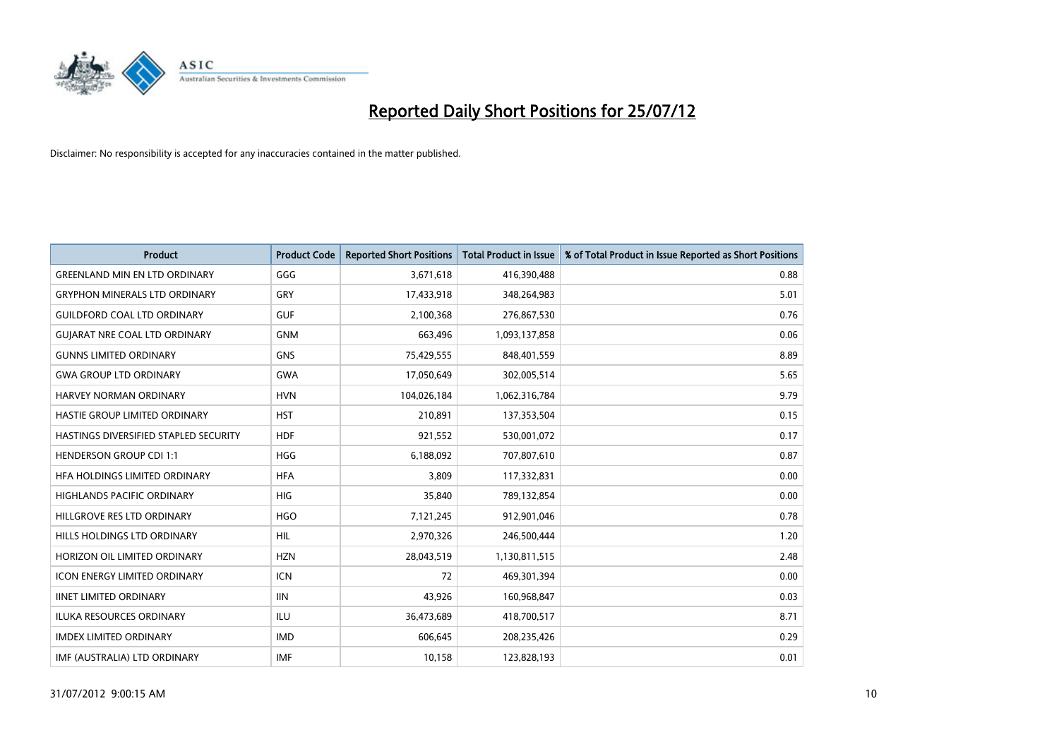

| <b>Product</b>                        | <b>Product Code</b> | <b>Reported Short Positions</b> | <b>Total Product in Issue</b> | % of Total Product in Issue Reported as Short Positions |
|---------------------------------------|---------------------|---------------------------------|-------------------------------|---------------------------------------------------------|
| <b>GREENLAND MIN EN LTD ORDINARY</b>  | GGG                 | 3,671,618                       | 416,390,488                   | 0.88                                                    |
| <b>GRYPHON MINERALS LTD ORDINARY</b>  | GRY                 | 17,433,918                      | 348,264,983                   | 5.01                                                    |
| <b>GUILDFORD COAL LTD ORDINARY</b>    | <b>GUF</b>          | 2,100,368                       | 276,867,530                   | 0.76                                                    |
| <b>GUIARAT NRE COAL LTD ORDINARY</b>  | <b>GNM</b>          | 663,496                         | 1,093,137,858                 | 0.06                                                    |
| <b>GUNNS LIMITED ORDINARY</b>         | <b>GNS</b>          | 75,429,555                      | 848,401,559                   | 8.89                                                    |
| <b>GWA GROUP LTD ORDINARY</b>         | <b>GWA</b>          | 17,050,649                      | 302,005,514                   | 5.65                                                    |
| <b>HARVEY NORMAN ORDINARY</b>         | <b>HVN</b>          | 104,026,184                     | 1,062,316,784                 | 9.79                                                    |
| HASTIE GROUP LIMITED ORDINARY         | <b>HST</b>          | 210,891                         | 137,353,504                   | 0.15                                                    |
| HASTINGS DIVERSIFIED STAPLED SECURITY | <b>HDF</b>          | 921,552                         | 530,001,072                   | 0.17                                                    |
| <b>HENDERSON GROUP CDI 1:1</b>        | <b>HGG</b>          | 6,188,092                       | 707,807,610                   | 0.87                                                    |
| HFA HOLDINGS LIMITED ORDINARY         | <b>HFA</b>          | 3,809                           | 117,332,831                   | 0.00                                                    |
| <b>HIGHLANDS PACIFIC ORDINARY</b>     | <b>HIG</b>          | 35,840                          | 789,132,854                   | 0.00                                                    |
| HILLGROVE RES LTD ORDINARY            | <b>HGO</b>          | 7,121,245                       | 912,901,046                   | 0.78                                                    |
| HILLS HOLDINGS LTD ORDINARY           | <b>HIL</b>          | 2,970,326                       | 246,500,444                   | 1.20                                                    |
| HORIZON OIL LIMITED ORDINARY          | <b>HZN</b>          | 28,043,519                      | 1,130,811,515                 | 2.48                                                    |
| <b>ICON ENERGY LIMITED ORDINARY</b>   | <b>ICN</b>          | 72                              | 469,301,394                   | 0.00                                                    |
| <b>IINET LIMITED ORDINARY</b>         | <b>IIN</b>          | 43,926                          | 160,968,847                   | 0.03                                                    |
| ILUKA RESOURCES ORDINARY              | ILU                 | 36,473,689                      | 418,700,517                   | 8.71                                                    |
| <b>IMDEX LIMITED ORDINARY</b>         | <b>IMD</b>          | 606.645                         | 208,235,426                   | 0.29                                                    |
| IMF (AUSTRALIA) LTD ORDINARY          | <b>IMF</b>          | 10,158                          | 123,828,193                   | 0.01                                                    |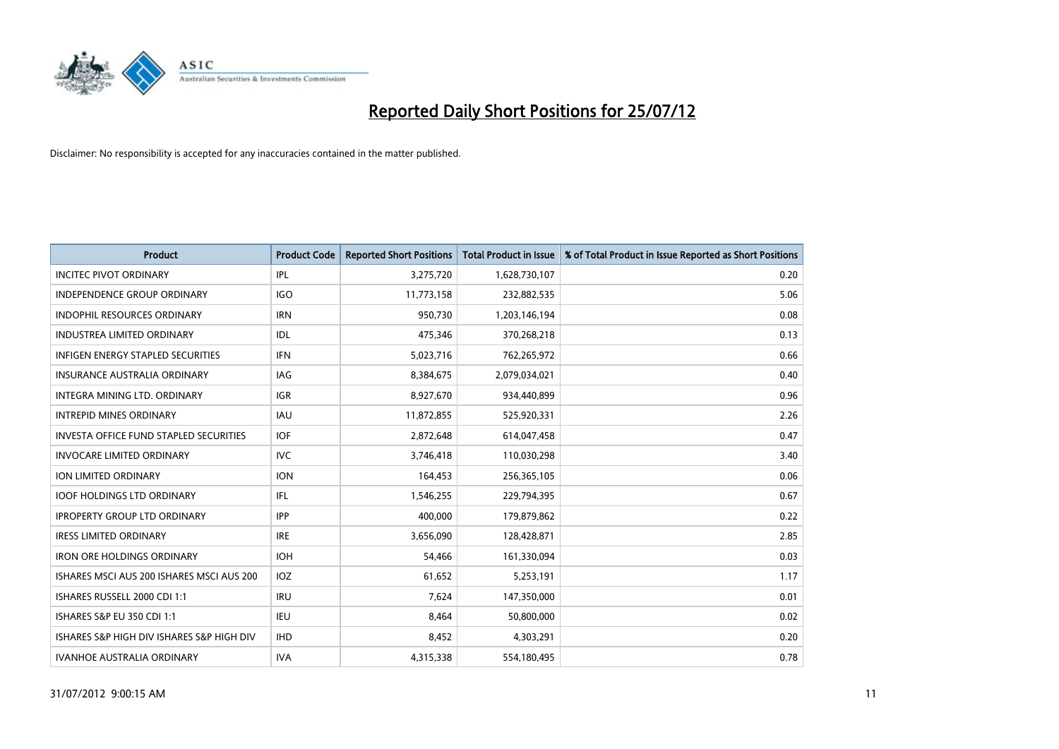

| <b>Product</b>                            | <b>Product Code</b> | <b>Reported Short Positions</b> | <b>Total Product in Issue</b> | % of Total Product in Issue Reported as Short Positions |
|-------------------------------------------|---------------------|---------------------------------|-------------------------------|---------------------------------------------------------|
| <b>INCITEC PIVOT ORDINARY</b>             | IPL                 | 3,275,720                       | 1,628,730,107                 | 0.20                                                    |
| <b>INDEPENDENCE GROUP ORDINARY</b>        | <b>IGO</b>          | 11,773,158                      | 232,882,535                   | 5.06                                                    |
| <b>INDOPHIL RESOURCES ORDINARY</b>        | <b>IRN</b>          | 950,730                         | 1,203,146,194                 | 0.08                                                    |
| INDUSTREA LIMITED ORDINARY                | IDL                 | 475,346                         | 370,268,218                   | 0.13                                                    |
| <b>INFIGEN ENERGY STAPLED SECURITIES</b>  | <b>IFN</b>          | 5,023,716                       | 762,265,972                   | 0.66                                                    |
| <b>INSURANCE AUSTRALIA ORDINARY</b>       | IAG                 | 8,384,675                       | 2,079,034,021                 | 0.40                                                    |
| <b>INTEGRA MINING LTD, ORDINARY</b>       | <b>IGR</b>          | 8,927,670                       | 934,440,899                   | 0.96                                                    |
| <b>INTREPID MINES ORDINARY</b>            | <b>IAU</b>          | 11,872,855                      | 525,920,331                   | 2.26                                                    |
| INVESTA OFFICE FUND STAPLED SECURITIES    | <b>IOF</b>          | 2,872,648                       | 614,047,458                   | 0.47                                                    |
| <b>INVOCARE LIMITED ORDINARY</b>          | IVC                 | 3,746,418                       | 110,030,298                   | 3.40                                                    |
| ION LIMITED ORDINARY                      | <b>ION</b>          | 164,453                         | 256,365,105                   | 0.06                                                    |
| <b>IOOF HOLDINGS LTD ORDINARY</b>         | IFL                 | 1,546,255                       | 229,794,395                   | 0.67                                                    |
| <b>IPROPERTY GROUP LTD ORDINARY</b>       | <b>IPP</b>          | 400,000                         | 179,879,862                   | 0.22                                                    |
| <b>IRESS LIMITED ORDINARY</b>             | <b>IRE</b>          | 3,656,090                       | 128,428,871                   | 2.85                                                    |
| <b>IRON ORE HOLDINGS ORDINARY</b>         | <b>IOH</b>          | 54,466                          | 161,330,094                   | 0.03                                                    |
| ISHARES MSCI AUS 200 ISHARES MSCI AUS 200 | <b>IOZ</b>          | 61,652                          | 5,253,191                     | 1.17                                                    |
| ISHARES RUSSELL 2000 CDI 1:1              | <b>IRU</b>          | 7,624                           | 147,350,000                   | 0.01                                                    |
| <b>ISHARES S&amp;P EU 350 CDI 1:1</b>     | <b>IEU</b>          | 8,464                           | 50,800,000                    | 0.02                                                    |
| ISHARES S&P HIGH DIV ISHARES S&P HIGH DIV | <b>IHD</b>          | 8,452                           | 4,303,291                     | 0.20                                                    |
| <b>IVANHOE AUSTRALIA ORDINARY</b>         | <b>IVA</b>          | 4,315,338                       | 554,180,495                   | 0.78                                                    |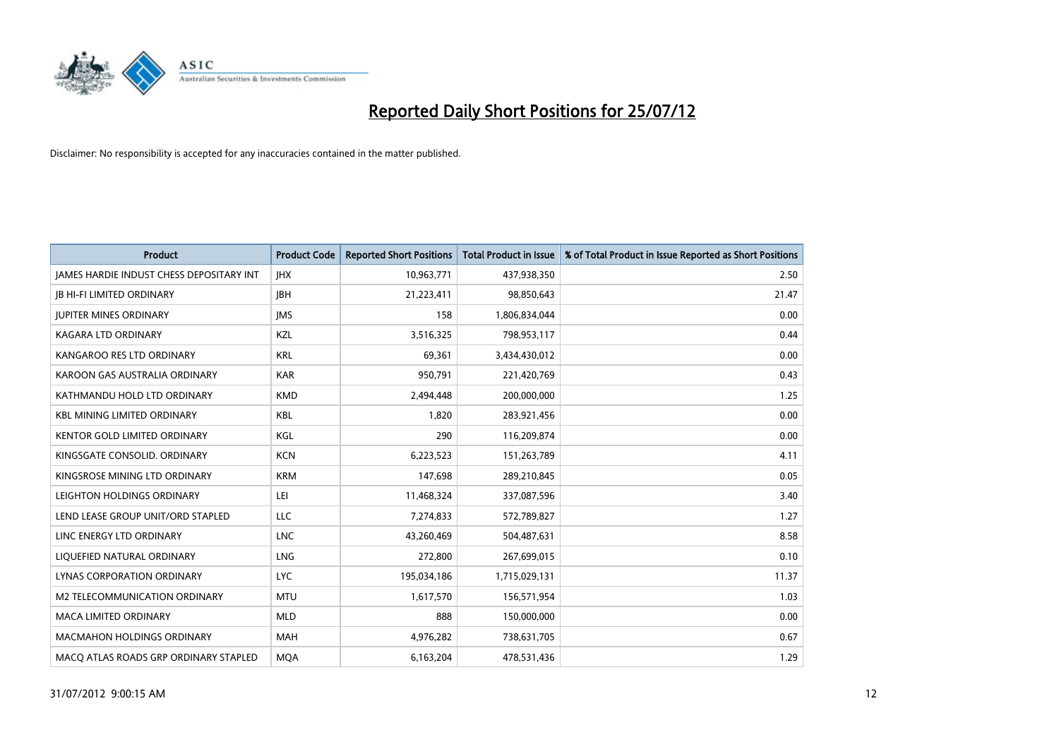

| <b>Product</b>                                  | <b>Product Code</b> | <b>Reported Short Positions</b> | <b>Total Product in Issue</b> | % of Total Product in Issue Reported as Short Positions |
|-------------------------------------------------|---------------------|---------------------------------|-------------------------------|---------------------------------------------------------|
| <b>JAMES HARDIE INDUST CHESS DEPOSITARY INT</b> | <b>IHX</b>          | 10,963,771                      | 437,938,350                   | 2.50                                                    |
| <b>IB HI-FI LIMITED ORDINARY</b>                | <b>IBH</b>          | 21,223,411                      | 98,850,643                    | 21.47                                                   |
| <b>JUPITER MINES ORDINARY</b>                   | <b>IMS</b>          | 158                             | 1,806,834,044                 | 0.00                                                    |
| <b>KAGARA LTD ORDINARY</b>                      | <b>KZL</b>          | 3,516,325                       | 798,953,117                   | 0.44                                                    |
| KANGAROO RES LTD ORDINARY                       | <b>KRL</b>          | 69,361                          | 3,434,430,012                 | 0.00                                                    |
| KAROON GAS AUSTRALIA ORDINARY                   | <b>KAR</b>          | 950,791                         | 221,420,769                   | 0.43                                                    |
| KATHMANDU HOLD LTD ORDINARY                     | <b>KMD</b>          | 2,494,448                       | 200,000,000                   | 1.25                                                    |
| <b>KBL MINING LIMITED ORDINARY</b>              | <b>KBL</b>          | 1,820                           | 283,921,456                   | 0.00                                                    |
| <b>KENTOR GOLD LIMITED ORDINARY</b>             | KGL                 | 290                             | 116,209,874                   | 0.00                                                    |
| KINGSGATE CONSOLID. ORDINARY                    | <b>KCN</b>          | 6,223,523                       | 151,263,789                   | 4.11                                                    |
| KINGSROSE MINING LTD ORDINARY                   | <b>KRM</b>          | 147,698                         | 289,210,845                   | 0.05                                                    |
| LEIGHTON HOLDINGS ORDINARY                      | LEI                 | 11,468,324                      | 337,087,596                   | 3.40                                                    |
| LEND LEASE GROUP UNIT/ORD STAPLED               | LLC                 | 7,274,833                       | 572,789,827                   | 1.27                                                    |
| LINC ENERGY LTD ORDINARY                        | <b>LNC</b>          | 43,260,469                      | 504,487,631                   | 8.58                                                    |
| LIQUEFIED NATURAL ORDINARY                      | <b>LNG</b>          | 272,800                         | 267,699,015                   | 0.10                                                    |
| LYNAS CORPORATION ORDINARY                      | <b>LYC</b>          | 195,034,186                     | 1,715,029,131                 | 11.37                                                   |
| M2 TELECOMMUNICATION ORDINARY                   | <b>MTU</b>          | 1,617,570                       | 156,571,954                   | 1.03                                                    |
| MACA LIMITED ORDINARY                           | <b>MLD</b>          | 888                             | 150,000,000                   | 0.00                                                    |
| <b>MACMAHON HOLDINGS ORDINARY</b>               | <b>MAH</b>          | 4,976,282                       | 738,631,705                   | 0.67                                                    |
| MACO ATLAS ROADS GRP ORDINARY STAPLED           | <b>MQA</b>          | 6,163,204                       | 478,531,436                   | 1.29                                                    |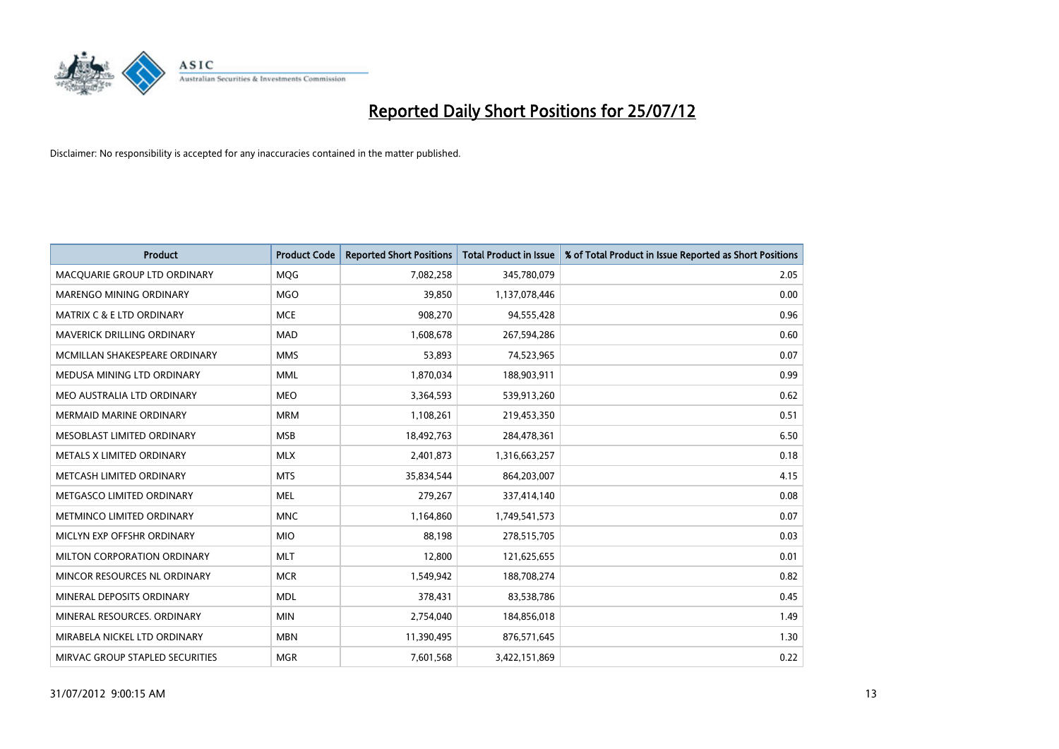

| <b>Product</b>                       | <b>Product Code</b> | <b>Reported Short Positions</b> | <b>Total Product in Issue</b> | % of Total Product in Issue Reported as Short Positions |
|--------------------------------------|---------------------|---------------------------------|-------------------------------|---------------------------------------------------------|
| MACQUARIE GROUP LTD ORDINARY         | <b>MOG</b>          | 7,082,258                       | 345,780,079                   | 2.05                                                    |
| MARENGO MINING ORDINARY              | <b>MGO</b>          | 39,850                          | 1,137,078,446                 | 0.00                                                    |
| <b>MATRIX C &amp; E LTD ORDINARY</b> | <b>MCE</b>          | 908,270                         | 94,555,428                    | 0.96                                                    |
| MAVERICK DRILLING ORDINARY           | <b>MAD</b>          | 1,608,678                       | 267,594,286                   | 0.60                                                    |
| MCMILLAN SHAKESPEARE ORDINARY        | <b>MMS</b>          | 53,893                          | 74,523,965                    | 0.07                                                    |
| MEDUSA MINING LTD ORDINARY           | <b>MML</b>          | 1,870,034                       | 188,903,911                   | 0.99                                                    |
| MEO AUSTRALIA LTD ORDINARY           | <b>MEO</b>          | 3,364,593                       | 539,913,260                   | 0.62                                                    |
| <b>MERMAID MARINE ORDINARY</b>       | <b>MRM</b>          | 1,108,261                       | 219,453,350                   | 0.51                                                    |
| MESOBLAST LIMITED ORDINARY           | <b>MSB</b>          | 18,492,763                      | 284,478,361                   | 6.50                                                    |
| METALS X LIMITED ORDINARY            | <b>MLX</b>          | 2,401,873                       | 1,316,663,257                 | 0.18                                                    |
| METCASH LIMITED ORDINARY             | <b>MTS</b>          | 35,834,544                      | 864,203,007                   | 4.15                                                    |
| METGASCO LIMITED ORDINARY            | <b>MEL</b>          | 279,267                         | 337,414,140                   | 0.08                                                    |
| METMINCO LIMITED ORDINARY            | <b>MNC</b>          | 1,164,860                       | 1,749,541,573                 | 0.07                                                    |
| MICLYN EXP OFFSHR ORDINARY           | <b>MIO</b>          | 88,198                          | 278,515,705                   | 0.03                                                    |
| MILTON CORPORATION ORDINARY          | <b>MLT</b>          | 12,800                          | 121,625,655                   | 0.01                                                    |
| MINCOR RESOURCES NL ORDINARY         | <b>MCR</b>          | 1,549,942                       | 188,708,274                   | 0.82                                                    |
| MINERAL DEPOSITS ORDINARY            | <b>MDL</b>          | 378,431                         | 83,538,786                    | 0.45                                                    |
| MINERAL RESOURCES, ORDINARY          | <b>MIN</b>          | 2,754,040                       | 184,856,018                   | 1.49                                                    |
| MIRABELA NICKEL LTD ORDINARY         | <b>MBN</b>          | 11,390,495                      | 876,571,645                   | 1.30                                                    |
| MIRVAC GROUP STAPLED SECURITIES      | <b>MGR</b>          | 7,601,568                       | 3,422,151,869                 | 0.22                                                    |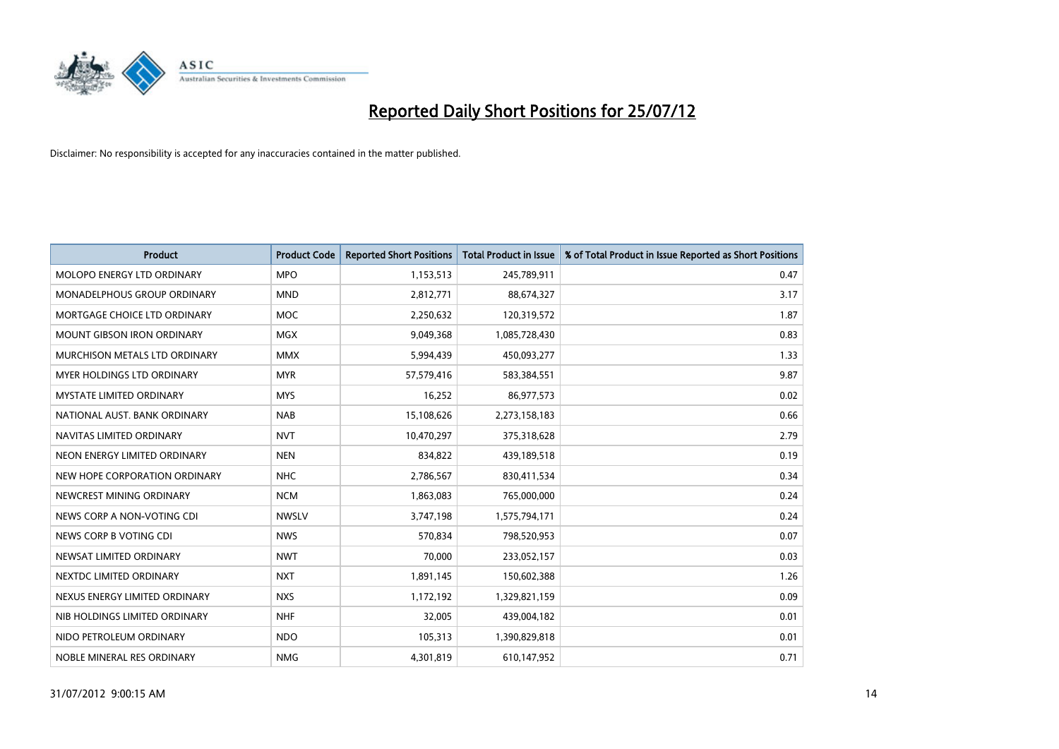

| <b>Product</b>                       | <b>Product Code</b> | <b>Reported Short Positions</b> | <b>Total Product in Issue</b> | % of Total Product in Issue Reported as Short Positions |
|--------------------------------------|---------------------|---------------------------------|-------------------------------|---------------------------------------------------------|
| MOLOPO ENERGY LTD ORDINARY           | <b>MPO</b>          | 1,153,513                       | 245,789,911                   | 0.47                                                    |
| MONADELPHOUS GROUP ORDINARY          | <b>MND</b>          | 2,812,771                       | 88,674,327                    | 3.17                                                    |
| MORTGAGE CHOICE LTD ORDINARY         | <b>MOC</b>          | 2,250,632                       | 120,319,572                   | 1.87                                                    |
| MOUNT GIBSON IRON ORDINARY           | <b>MGX</b>          | 9,049,368                       | 1,085,728,430                 | 0.83                                                    |
| <b>MURCHISON METALS LTD ORDINARY</b> | <b>MMX</b>          | 5,994,439                       | 450,093,277                   | 1.33                                                    |
| <b>MYER HOLDINGS LTD ORDINARY</b>    | <b>MYR</b>          | 57,579,416                      | 583,384,551                   | 9.87                                                    |
| <b>MYSTATE LIMITED ORDINARY</b>      | <b>MYS</b>          | 16,252                          | 86,977,573                    | 0.02                                                    |
| NATIONAL AUST, BANK ORDINARY         | <b>NAB</b>          | 15,108,626                      | 2,273,158,183                 | 0.66                                                    |
| NAVITAS LIMITED ORDINARY             | <b>NVT</b>          | 10,470,297                      | 375,318,628                   | 2.79                                                    |
| NEON ENERGY LIMITED ORDINARY         | <b>NEN</b>          | 834,822                         | 439,189,518                   | 0.19                                                    |
| NEW HOPE CORPORATION ORDINARY        | <b>NHC</b>          | 2,786,567                       | 830,411,534                   | 0.34                                                    |
| NEWCREST MINING ORDINARY             | <b>NCM</b>          | 1,863,083                       | 765,000,000                   | 0.24                                                    |
| NEWS CORP A NON-VOTING CDI           | <b>NWSLV</b>        | 3,747,198                       | 1,575,794,171                 | 0.24                                                    |
| NEWS CORP B VOTING CDI               | <b>NWS</b>          | 570,834                         | 798,520,953                   | 0.07                                                    |
| NEWSAT LIMITED ORDINARY              | <b>NWT</b>          | 70,000                          | 233,052,157                   | 0.03                                                    |
| NEXTDC LIMITED ORDINARY              | <b>NXT</b>          | 1,891,145                       | 150,602,388                   | 1.26                                                    |
| NEXUS ENERGY LIMITED ORDINARY        | <b>NXS</b>          | 1,172,192                       | 1,329,821,159                 | 0.09                                                    |
| NIB HOLDINGS LIMITED ORDINARY        | <b>NHF</b>          | 32,005                          | 439,004,182                   | 0.01                                                    |
| NIDO PETROLEUM ORDINARY              | <b>NDO</b>          | 105,313                         | 1,390,829,818                 | 0.01                                                    |
| NOBLE MINERAL RES ORDINARY           | <b>NMG</b>          | 4,301,819                       | 610,147,952                   | 0.71                                                    |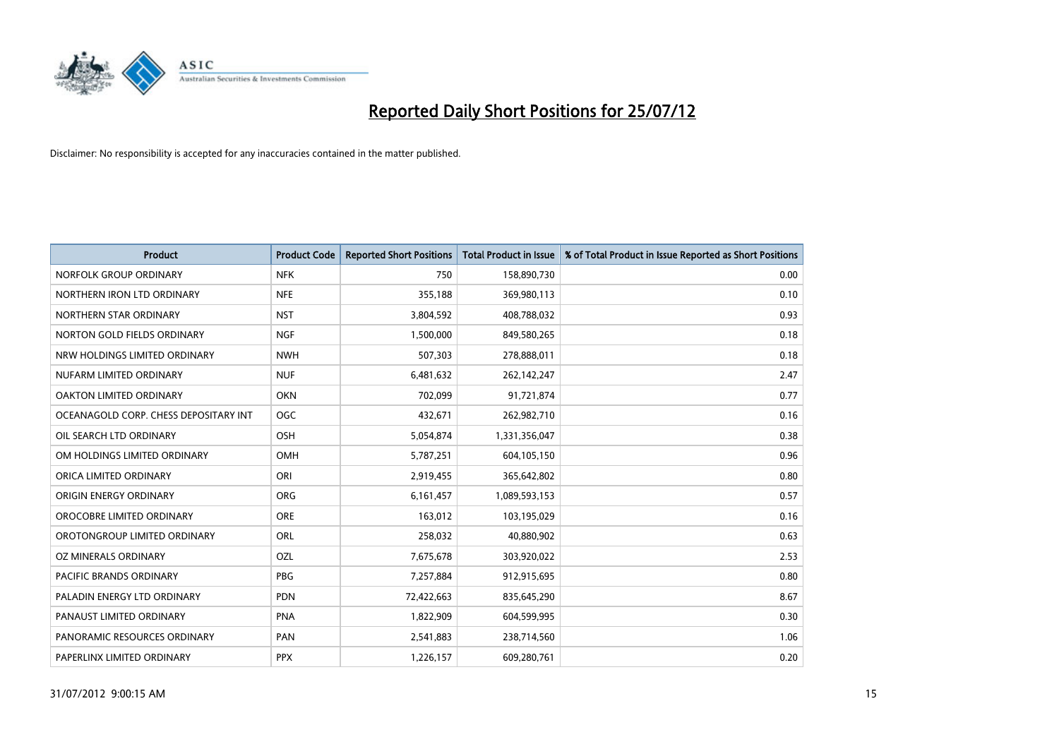

| <b>Product</b>                        | <b>Product Code</b> | <b>Reported Short Positions</b> | <b>Total Product in Issue</b> | % of Total Product in Issue Reported as Short Positions |
|---------------------------------------|---------------------|---------------------------------|-------------------------------|---------------------------------------------------------|
| NORFOLK GROUP ORDINARY                | <b>NFK</b>          | 750                             | 158,890,730                   | 0.00                                                    |
| NORTHERN IRON LTD ORDINARY            | <b>NFE</b>          | 355,188                         | 369,980,113                   | 0.10                                                    |
| NORTHERN STAR ORDINARY                | <b>NST</b>          | 3,804,592                       | 408,788,032                   | 0.93                                                    |
| NORTON GOLD FIELDS ORDINARY           | <b>NGF</b>          | 1,500,000                       | 849,580,265                   | 0.18                                                    |
| NRW HOLDINGS LIMITED ORDINARY         | <b>NWH</b>          | 507,303                         | 278,888,011                   | 0.18                                                    |
| NUFARM LIMITED ORDINARY               | <b>NUF</b>          | 6,481,632                       | 262,142,247                   | 2.47                                                    |
| <b>OAKTON LIMITED ORDINARY</b>        | <b>OKN</b>          | 702,099                         | 91,721,874                    | 0.77                                                    |
| OCEANAGOLD CORP. CHESS DEPOSITARY INT | <b>OGC</b>          | 432,671                         | 262,982,710                   | 0.16                                                    |
| OIL SEARCH LTD ORDINARY               | OSH                 | 5,054,874                       | 1,331,356,047                 | 0.38                                                    |
| OM HOLDINGS LIMITED ORDINARY          | OMH                 | 5,787,251                       | 604,105,150                   | 0.96                                                    |
| ORICA LIMITED ORDINARY                | ORI                 | 2,919,455                       | 365,642,802                   | 0.80                                                    |
| ORIGIN ENERGY ORDINARY                | <b>ORG</b>          | 6,161,457                       | 1,089,593,153                 | 0.57                                                    |
| OROCOBRE LIMITED ORDINARY             | <b>ORE</b>          | 163,012                         | 103,195,029                   | 0.16                                                    |
| OROTONGROUP LIMITED ORDINARY          | <b>ORL</b>          | 258,032                         | 40,880,902                    | 0.63                                                    |
| OZ MINERALS ORDINARY                  | OZL                 | 7,675,678                       | 303,920,022                   | 2.53                                                    |
| PACIFIC BRANDS ORDINARY               | <b>PBG</b>          | 7,257,884                       | 912,915,695                   | 0.80                                                    |
| PALADIN ENERGY LTD ORDINARY           | <b>PDN</b>          | 72,422,663                      | 835,645,290                   | 8.67                                                    |
| PANAUST LIMITED ORDINARY              | <b>PNA</b>          | 1,822,909                       | 604,599,995                   | 0.30                                                    |
| PANORAMIC RESOURCES ORDINARY          | PAN                 | 2,541,883                       | 238,714,560                   | 1.06                                                    |
| PAPERLINX LIMITED ORDINARY            | <b>PPX</b>          | 1,226,157                       | 609,280,761                   | 0.20                                                    |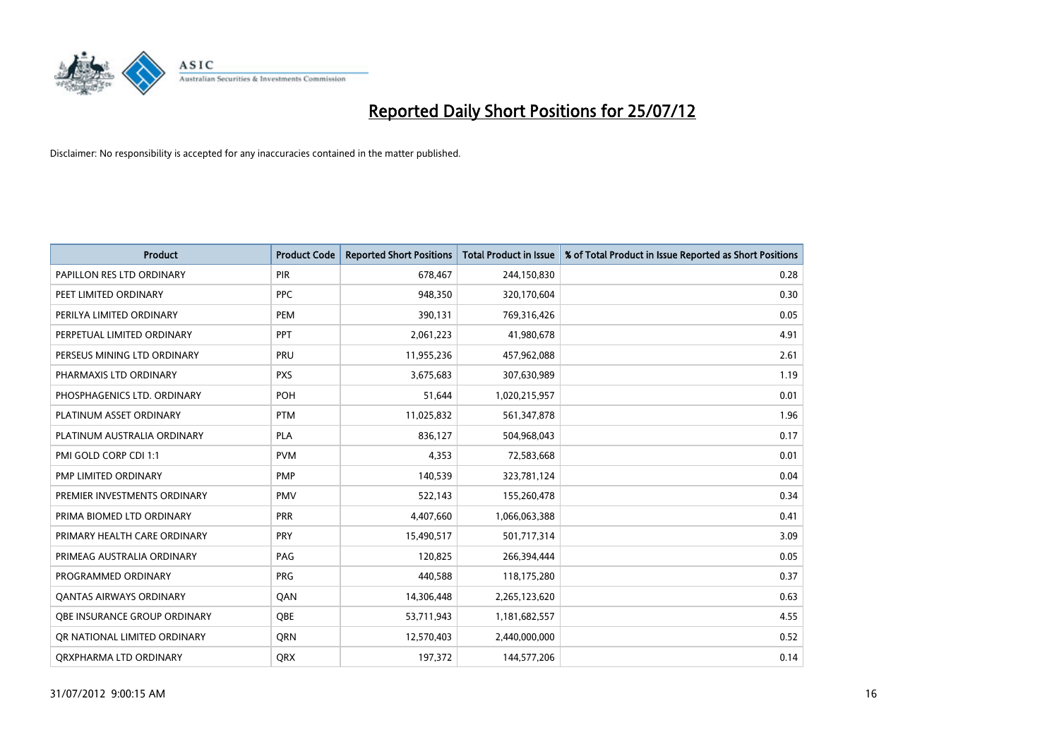

| <b>Product</b>                      | <b>Product Code</b> | <b>Reported Short Positions</b> | <b>Total Product in Issue</b> | % of Total Product in Issue Reported as Short Positions |
|-------------------------------------|---------------------|---------------------------------|-------------------------------|---------------------------------------------------------|
| PAPILLON RES LTD ORDINARY           | <b>PIR</b>          | 678,467                         | 244,150,830                   | 0.28                                                    |
| PEET LIMITED ORDINARY               | <b>PPC</b>          | 948,350                         | 320,170,604                   | 0.30                                                    |
| PERILYA LIMITED ORDINARY            | PEM                 | 390,131                         | 769,316,426                   | 0.05                                                    |
| PERPETUAL LIMITED ORDINARY          | <b>PPT</b>          | 2,061,223                       | 41,980,678                    | 4.91                                                    |
| PERSEUS MINING LTD ORDINARY         | PRU                 | 11,955,236                      | 457,962,088                   | 2.61                                                    |
| PHARMAXIS LTD ORDINARY              | <b>PXS</b>          | 3,675,683                       | 307,630,989                   | 1.19                                                    |
| PHOSPHAGENICS LTD. ORDINARY         | <b>POH</b>          | 51,644                          | 1,020,215,957                 | 0.01                                                    |
| PLATINUM ASSET ORDINARY             | <b>PTM</b>          | 11,025,832                      | 561,347,878                   | 1.96                                                    |
| PLATINUM AUSTRALIA ORDINARY         | <b>PLA</b>          | 836,127                         | 504,968,043                   | 0.17                                                    |
| PMI GOLD CORP CDI 1:1               | <b>PVM</b>          | 4,353                           | 72,583,668                    | 0.01                                                    |
| PMP LIMITED ORDINARY                | <b>PMP</b>          | 140,539                         | 323,781,124                   | 0.04                                                    |
| PREMIER INVESTMENTS ORDINARY        | <b>PMV</b>          | 522,143                         | 155,260,478                   | 0.34                                                    |
| PRIMA BIOMED LTD ORDINARY           | <b>PRR</b>          | 4,407,660                       | 1,066,063,388                 | 0.41                                                    |
| PRIMARY HEALTH CARE ORDINARY        | <b>PRY</b>          | 15,490,517                      | 501,717,314                   | 3.09                                                    |
| PRIMEAG AUSTRALIA ORDINARY          | PAG                 | 120,825                         | 266,394,444                   | 0.05                                                    |
| PROGRAMMED ORDINARY                 | <b>PRG</b>          | 440,588                         | 118,175,280                   | 0.37                                                    |
| <b>QANTAS AIRWAYS ORDINARY</b>      | QAN                 | 14,306,448                      | 2,265,123,620                 | 0.63                                                    |
| <b>OBE INSURANCE GROUP ORDINARY</b> | <b>OBE</b>          | 53,711,943                      | 1,181,682,557                 | 4.55                                                    |
| OR NATIONAL LIMITED ORDINARY        | <b>ORN</b>          | 12,570,403                      | 2,440,000,000                 | 0.52                                                    |
| ORXPHARMA LTD ORDINARY              | <b>QRX</b>          | 197,372                         | 144,577,206                   | 0.14                                                    |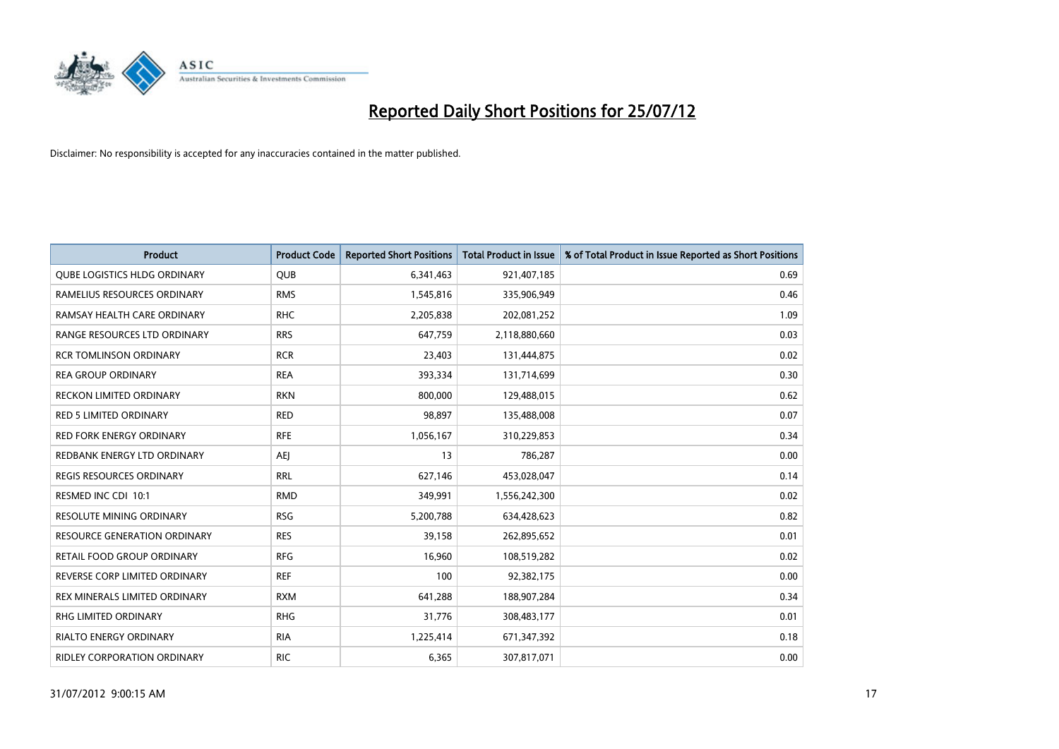

| <b>Product</b>                      | <b>Product Code</b> | <b>Reported Short Positions</b> | <b>Total Product in Issue</b> | % of Total Product in Issue Reported as Short Positions |
|-------------------------------------|---------------------|---------------------------------|-------------------------------|---------------------------------------------------------|
| <b>QUBE LOGISTICS HLDG ORDINARY</b> | <b>QUB</b>          | 6,341,463                       | 921,407,185                   | 0.69                                                    |
| RAMELIUS RESOURCES ORDINARY         | <b>RMS</b>          | 1,545,816                       | 335,906,949                   | 0.46                                                    |
| RAMSAY HEALTH CARE ORDINARY         | <b>RHC</b>          | 2,205,838                       | 202,081,252                   | 1.09                                                    |
| RANGE RESOURCES LTD ORDINARY        | <b>RRS</b>          | 647,759                         | 2,118,880,660                 | 0.03                                                    |
| <b>RCR TOMLINSON ORDINARY</b>       | <b>RCR</b>          | 23,403                          | 131,444,875                   | 0.02                                                    |
| <b>REA GROUP ORDINARY</b>           | <b>REA</b>          | 393,334                         | 131,714,699                   | 0.30                                                    |
| <b>RECKON LIMITED ORDINARY</b>      | <b>RKN</b>          | 800.000                         | 129,488,015                   | 0.62                                                    |
| <b>RED 5 LIMITED ORDINARY</b>       | <b>RED</b>          | 98,897                          | 135,488,008                   | 0.07                                                    |
| RED FORK ENERGY ORDINARY            | <b>RFE</b>          | 1,056,167                       | 310,229,853                   | 0.34                                                    |
| REDBANK ENERGY LTD ORDINARY         | AEI                 | 13                              | 786,287                       | 0.00                                                    |
| <b>REGIS RESOURCES ORDINARY</b>     | <b>RRL</b>          | 627,146                         | 453,028,047                   | 0.14                                                    |
| RESMED INC CDI 10:1                 | <b>RMD</b>          | 349,991                         | 1,556,242,300                 | 0.02                                                    |
| <b>RESOLUTE MINING ORDINARY</b>     | <b>RSG</b>          | 5,200,788                       | 634,428,623                   | 0.82                                                    |
| <b>RESOURCE GENERATION ORDINARY</b> | <b>RES</b>          | 39,158                          | 262,895,652                   | 0.01                                                    |
| RETAIL FOOD GROUP ORDINARY          | <b>RFG</b>          | 16,960                          | 108,519,282                   | 0.02                                                    |
| REVERSE CORP LIMITED ORDINARY       | <b>REF</b>          | 100                             | 92,382,175                    | 0.00                                                    |
| REX MINERALS LIMITED ORDINARY       | <b>RXM</b>          | 641,288                         | 188,907,284                   | 0.34                                                    |
| RHG LIMITED ORDINARY                | <b>RHG</b>          | 31,776                          | 308,483,177                   | 0.01                                                    |
| <b>RIALTO ENERGY ORDINARY</b>       | <b>RIA</b>          | 1,225,414                       | 671,347,392                   | 0.18                                                    |
| RIDLEY CORPORATION ORDINARY         | <b>RIC</b>          | 6,365                           | 307,817,071                   | 0.00                                                    |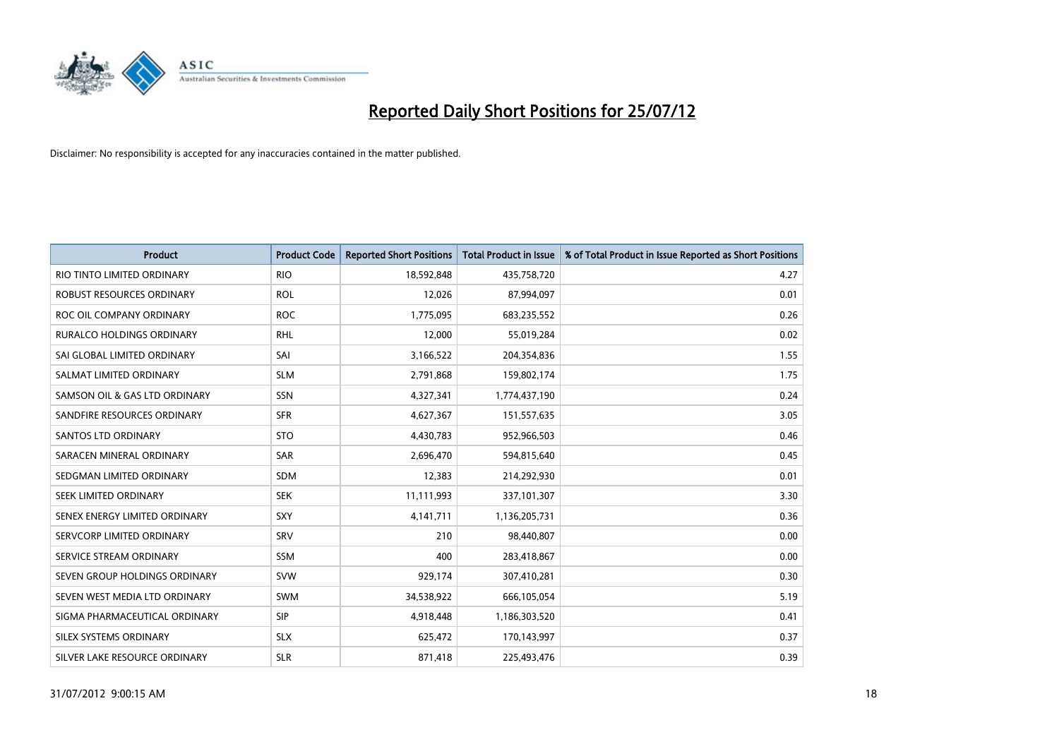

| <b>Product</b>                | <b>Product Code</b> | <b>Reported Short Positions</b> | <b>Total Product in Issue</b> | % of Total Product in Issue Reported as Short Positions |
|-------------------------------|---------------------|---------------------------------|-------------------------------|---------------------------------------------------------|
| RIO TINTO LIMITED ORDINARY    | <b>RIO</b>          | 18,592,848                      | 435,758,720                   | 4.27                                                    |
| ROBUST RESOURCES ORDINARY     | <b>ROL</b>          | 12,026                          | 87,994,097                    | 0.01                                                    |
| ROC OIL COMPANY ORDINARY      | <b>ROC</b>          | 1,775,095                       | 683,235,552                   | 0.26                                                    |
| RURALCO HOLDINGS ORDINARY     | <b>RHL</b>          | 12,000                          | 55,019,284                    | 0.02                                                    |
| SAI GLOBAL LIMITED ORDINARY   | SAI                 | 3,166,522                       | 204,354,836                   | 1.55                                                    |
| SALMAT LIMITED ORDINARY       | <b>SLM</b>          | 2,791,868                       | 159,802,174                   | 1.75                                                    |
| SAMSON OIL & GAS LTD ORDINARY | SSN                 | 4,327,341                       | 1,774,437,190                 | 0.24                                                    |
| SANDFIRE RESOURCES ORDINARY   | <b>SFR</b>          | 4,627,367                       | 151,557,635                   | 3.05                                                    |
| <b>SANTOS LTD ORDINARY</b>    | <b>STO</b>          | 4,430,783                       | 952,966,503                   | 0.46                                                    |
| SARACEN MINERAL ORDINARY      | SAR                 | 2,696,470                       | 594,815,640                   | 0.45                                                    |
| SEDGMAN LIMITED ORDINARY      | <b>SDM</b>          | 12,383                          | 214,292,930                   | 0.01                                                    |
| <b>SEEK LIMITED ORDINARY</b>  | <b>SEK</b>          | 11,111,993                      | 337,101,307                   | 3.30                                                    |
| SENEX ENERGY LIMITED ORDINARY | SXY                 | 4,141,711                       | 1,136,205,731                 | 0.36                                                    |
| SERVCORP LIMITED ORDINARY     | SRV                 | 210                             | 98,440,807                    | 0.00                                                    |
| SERVICE STREAM ORDINARY       | <b>SSM</b>          | 400                             | 283,418,867                   | 0.00                                                    |
| SEVEN GROUP HOLDINGS ORDINARY | <b>SVW</b>          | 929,174                         | 307,410,281                   | 0.30                                                    |
| SEVEN WEST MEDIA LTD ORDINARY | <b>SWM</b>          | 34,538,922                      | 666,105,054                   | 5.19                                                    |
| SIGMA PHARMACEUTICAL ORDINARY | <b>SIP</b>          | 4,918,448                       | 1,186,303,520                 | 0.41                                                    |
| SILEX SYSTEMS ORDINARY        | <b>SLX</b>          | 625,472                         | 170,143,997                   | 0.37                                                    |
| SILVER LAKE RESOURCE ORDINARY | <b>SLR</b>          | 871,418                         | 225,493,476                   | 0.39                                                    |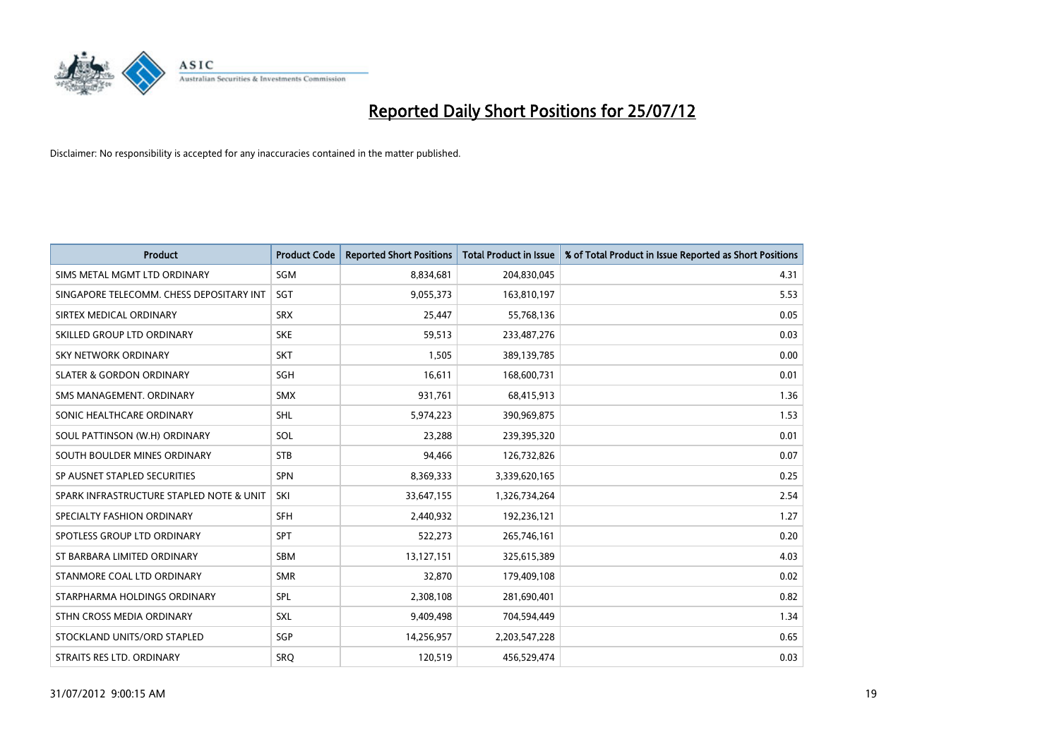

| <b>Product</b>                           | <b>Product Code</b> | <b>Reported Short Positions</b> | Total Product in Issue | % of Total Product in Issue Reported as Short Positions |
|------------------------------------------|---------------------|---------------------------------|------------------------|---------------------------------------------------------|
| SIMS METAL MGMT LTD ORDINARY             | SGM                 | 8,834,681                       | 204,830,045            | 4.31                                                    |
| SINGAPORE TELECOMM. CHESS DEPOSITARY INT | SGT                 | 9,055,373                       | 163,810,197            | 5.53                                                    |
| SIRTEX MEDICAL ORDINARY                  | <b>SRX</b>          | 25,447                          | 55,768,136             | 0.05                                                    |
| SKILLED GROUP LTD ORDINARY               | <b>SKE</b>          | 59,513                          | 233,487,276            | 0.03                                                    |
| <b>SKY NETWORK ORDINARY</b>              | <b>SKT</b>          | 1,505                           | 389,139,785            | 0.00                                                    |
| <b>SLATER &amp; GORDON ORDINARY</b>      | SGH                 | 16,611                          | 168,600,731            | 0.01                                                    |
| SMS MANAGEMENT, ORDINARY                 | <b>SMX</b>          | 931,761                         | 68,415,913             | 1.36                                                    |
| SONIC HEALTHCARE ORDINARY                | <b>SHL</b>          | 5,974,223                       | 390,969,875            | 1.53                                                    |
| SOUL PATTINSON (W.H) ORDINARY            | SOL                 | 23,288                          | 239,395,320            | 0.01                                                    |
| SOUTH BOULDER MINES ORDINARY             | <b>STB</b>          | 94,466                          | 126,732,826            | 0.07                                                    |
| SP AUSNET STAPLED SECURITIES             | <b>SPN</b>          | 8,369,333                       | 3,339,620,165          | 0.25                                                    |
| SPARK INFRASTRUCTURE STAPLED NOTE & UNIT | SKI                 | 33,647,155                      | 1,326,734,264          | 2.54                                                    |
| SPECIALTY FASHION ORDINARY               | <b>SFH</b>          | 2,440,932                       | 192,236,121            | 1.27                                                    |
| SPOTLESS GROUP LTD ORDINARY              | <b>SPT</b>          | 522,273                         | 265,746,161            | 0.20                                                    |
| ST BARBARA LIMITED ORDINARY              | <b>SBM</b>          | 13,127,151                      | 325,615,389            | 4.03                                                    |
| STANMORE COAL LTD ORDINARY               | <b>SMR</b>          | 32,870                          | 179,409,108            | 0.02                                                    |
| STARPHARMA HOLDINGS ORDINARY             | SPL                 | 2,308,108                       | 281,690,401            | 0.82                                                    |
| STHN CROSS MEDIA ORDINARY                | <b>SXL</b>          | 9,409,498                       | 704,594,449            | 1.34                                                    |
| STOCKLAND UNITS/ORD STAPLED              | SGP                 | 14,256,957                      | 2,203,547,228          | 0.65                                                    |
| STRAITS RES LTD. ORDINARY                | SRO                 | 120,519                         | 456,529,474            | 0.03                                                    |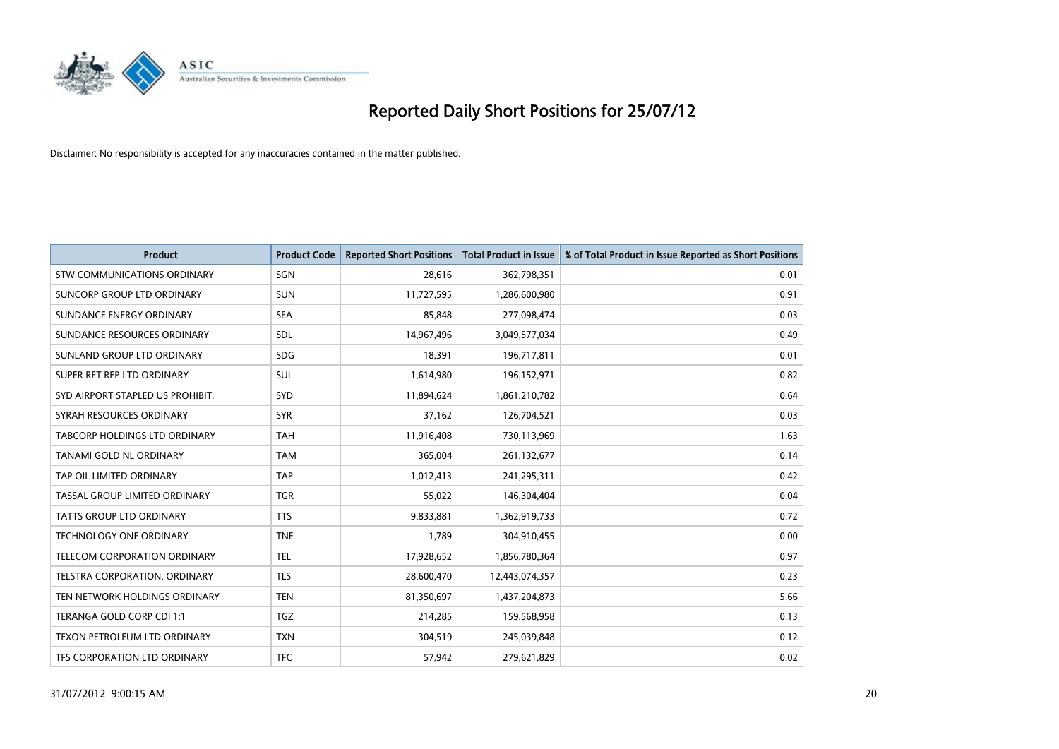

| <b>Product</b>                       | <b>Product Code</b> | <b>Reported Short Positions</b> | <b>Total Product in Issue</b> | % of Total Product in Issue Reported as Short Positions |
|--------------------------------------|---------------------|---------------------------------|-------------------------------|---------------------------------------------------------|
| STW COMMUNICATIONS ORDINARY          | SGN                 | 28,616                          | 362,798,351                   | 0.01                                                    |
| SUNCORP GROUP LTD ORDINARY           | <b>SUN</b>          | 11,727,595                      | 1,286,600,980                 | 0.91                                                    |
| SUNDANCE ENERGY ORDINARY             | <b>SEA</b>          | 85,848                          | 277,098,474                   | 0.03                                                    |
| SUNDANCE RESOURCES ORDINARY          | <b>SDL</b>          | 14,967,496                      | 3,049,577,034                 | 0.49                                                    |
| SUNLAND GROUP LTD ORDINARY           | <b>SDG</b>          | 18,391                          | 196,717,811                   | 0.01                                                    |
| SUPER RET REP LTD ORDINARY           | <b>SUL</b>          | 1,614,980                       | 196,152,971                   | 0.82                                                    |
| SYD AIRPORT STAPLED US PROHIBIT.     | SYD                 | 11,894,624                      | 1,861,210,782                 | 0.64                                                    |
| SYRAH RESOURCES ORDINARY             | <b>SYR</b>          | 37,162                          | 126,704,521                   | 0.03                                                    |
| TABCORP HOLDINGS LTD ORDINARY        | <b>TAH</b>          | 11,916,408                      | 730,113,969                   | 1.63                                                    |
| TANAMI GOLD NL ORDINARY              | <b>TAM</b>          | 365,004                         | 261,132,677                   | 0.14                                                    |
| TAP OIL LIMITED ORDINARY             | <b>TAP</b>          | 1,012,413                       | 241,295,311                   | 0.42                                                    |
| TASSAL GROUP LIMITED ORDINARY        | <b>TGR</b>          | 55,022                          | 146,304,404                   | 0.04                                                    |
| TATTS GROUP LTD ORDINARY             | <b>TTS</b>          | 9,833,881                       | 1,362,919,733                 | 0.72                                                    |
| <b>TECHNOLOGY ONE ORDINARY</b>       | <b>TNE</b>          | 1,789                           | 304,910,455                   | 0.00                                                    |
| <b>TELECOM CORPORATION ORDINARY</b>  | <b>TEL</b>          | 17,928,652                      | 1,856,780,364                 | 0.97                                                    |
| <b>TELSTRA CORPORATION, ORDINARY</b> | <b>TLS</b>          | 28,600,470                      | 12,443,074,357                | 0.23                                                    |
| TEN NETWORK HOLDINGS ORDINARY        | <b>TEN</b>          | 81,350,697                      | 1,437,204,873                 | 5.66                                                    |
| TERANGA GOLD CORP CDI 1:1            | <b>TGZ</b>          | 214,285                         | 159,568,958                   | 0.13                                                    |
| TEXON PETROLEUM LTD ORDINARY         | <b>TXN</b>          | 304,519                         | 245,039,848                   | 0.12                                                    |
| <b>TFS CORPORATION LTD ORDINARY</b>  | <b>TFC</b>          | 57,942                          | 279,621,829                   | 0.02                                                    |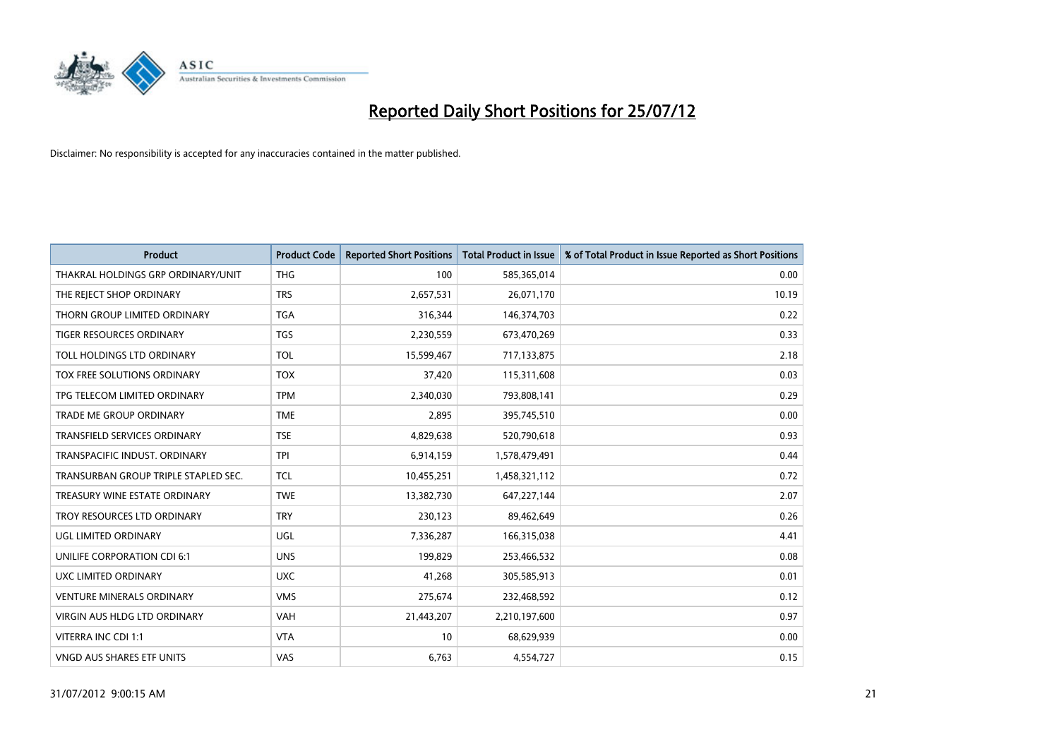

| <b>Product</b>                       | <b>Product Code</b> | <b>Reported Short Positions</b> | <b>Total Product in Issue</b> | % of Total Product in Issue Reported as Short Positions |
|--------------------------------------|---------------------|---------------------------------|-------------------------------|---------------------------------------------------------|
| THAKRAL HOLDINGS GRP ORDINARY/UNIT   | <b>THG</b>          | 100                             | 585,365,014                   | 0.00                                                    |
| THE REJECT SHOP ORDINARY             | <b>TRS</b>          | 2,657,531                       | 26,071,170                    | 10.19                                                   |
| THORN GROUP LIMITED ORDINARY         | <b>TGA</b>          | 316,344                         | 146,374,703                   | 0.22                                                    |
| TIGER RESOURCES ORDINARY             | <b>TGS</b>          | 2,230,559                       | 673,470,269                   | 0.33                                                    |
| TOLL HOLDINGS LTD ORDINARY           | <b>TOL</b>          | 15,599,467                      | 717,133,875                   | 2.18                                                    |
| <b>TOX FREE SOLUTIONS ORDINARY</b>   | <b>TOX</b>          | 37,420                          | 115,311,608                   | 0.03                                                    |
| TPG TELECOM LIMITED ORDINARY         | <b>TPM</b>          | 2,340,030                       | 793,808,141                   | 0.29                                                    |
| TRADE ME GROUP ORDINARY              | <b>TME</b>          | 2,895                           | 395,745,510                   | 0.00                                                    |
| TRANSFIELD SERVICES ORDINARY         | <b>TSE</b>          | 4,829,638                       | 520,790,618                   | 0.93                                                    |
| TRANSPACIFIC INDUST, ORDINARY        | <b>TPI</b>          | 6,914,159                       | 1,578,479,491                 | 0.44                                                    |
| TRANSURBAN GROUP TRIPLE STAPLED SEC. | <b>TCL</b>          | 10,455,251                      | 1,458,321,112                 | 0.72                                                    |
| TREASURY WINE ESTATE ORDINARY        | <b>TWE</b>          | 13,382,730                      | 647,227,144                   | 2.07                                                    |
| TROY RESOURCES LTD ORDINARY          | <b>TRY</b>          | 230,123                         | 89,462,649                    | 0.26                                                    |
| UGL LIMITED ORDINARY                 | UGL                 | 7,336,287                       | 166,315,038                   | 4.41                                                    |
| UNILIFE CORPORATION CDI 6:1          | <b>UNS</b>          | 199,829                         | 253,466,532                   | 0.08                                                    |
| UXC LIMITED ORDINARY                 | <b>UXC</b>          | 41,268                          | 305,585,913                   | 0.01                                                    |
| <b>VENTURE MINERALS ORDINARY</b>     | <b>VMS</b>          | 275,674                         | 232,468,592                   | 0.12                                                    |
| VIRGIN AUS HLDG LTD ORDINARY         | <b>VAH</b>          | 21,443,207                      | 2,210,197,600                 | 0.97                                                    |
| VITERRA INC CDI 1:1                  | <b>VTA</b>          | 10                              | 68,629,939                    | 0.00                                                    |
| VNGD AUS SHARES ETF UNITS            | VAS                 | 6,763                           | 4,554,727                     | 0.15                                                    |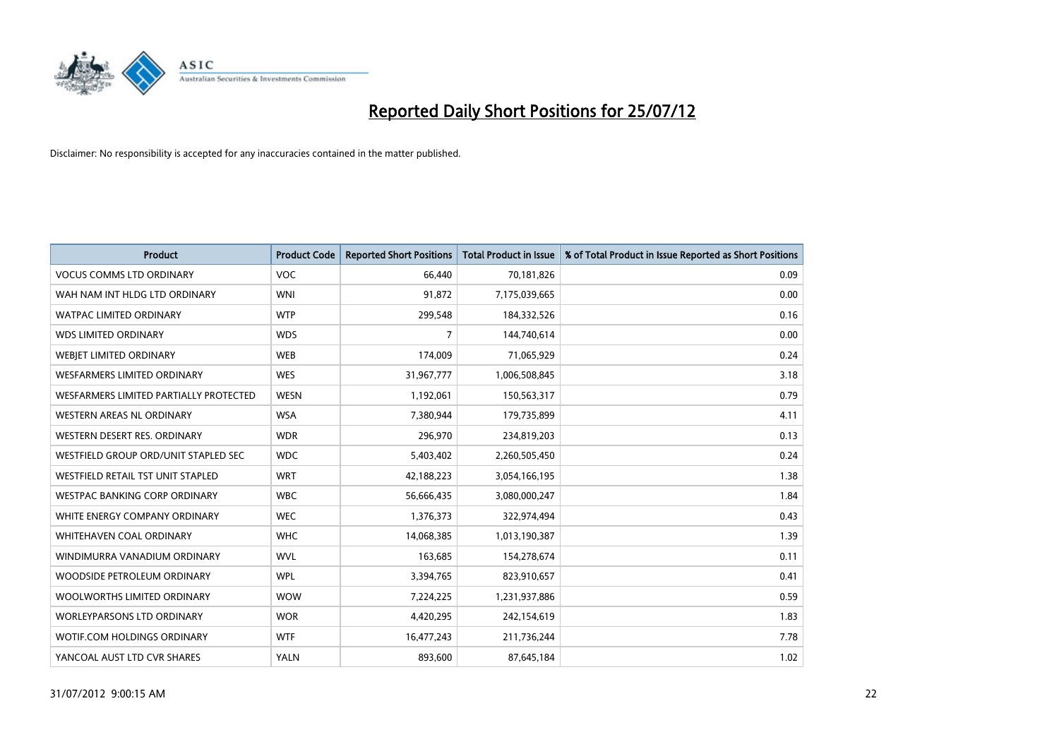

| <b>Product</b>                         | <b>Product Code</b> | <b>Reported Short Positions</b> | <b>Total Product in Issue</b> | % of Total Product in Issue Reported as Short Positions |
|----------------------------------------|---------------------|---------------------------------|-------------------------------|---------------------------------------------------------|
| <b>VOCUS COMMS LTD ORDINARY</b>        | VOC                 | 66.440                          | 70,181,826                    | 0.09                                                    |
| WAH NAM INT HLDG LTD ORDINARY          | <b>WNI</b>          | 91,872                          | 7,175,039,665                 | 0.00                                                    |
| <b>WATPAC LIMITED ORDINARY</b>         | <b>WTP</b>          | 299,548                         | 184,332,526                   | 0.16                                                    |
| <b>WDS LIMITED ORDINARY</b>            | <b>WDS</b>          | 7                               | 144,740,614                   | 0.00                                                    |
| WEBIET LIMITED ORDINARY                | <b>WEB</b>          | 174,009                         | 71,065,929                    | 0.24                                                    |
| <b>WESFARMERS LIMITED ORDINARY</b>     | <b>WES</b>          | 31,967,777                      | 1,006,508,845                 | 3.18                                                    |
| WESFARMERS LIMITED PARTIALLY PROTECTED | <b>WESN</b>         | 1,192,061                       | 150,563,317                   | 0.79                                                    |
| WESTERN AREAS NL ORDINARY              | <b>WSA</b>          | 7,380,944                       | 179,735,899                   | 4.11                                                    |
| WESTERN DESERT RES. ORDINARY           | <b>WDR</b>          | 296,970                         | 234,819,203                   | 0.13                                                    |
| WESTFIELD GROUP ORD/UNIT STAPLED SEC   | <b>WDC</b>          | 5,403,402                       | 2,260,505,450                 | 0.24                                                    |
| WESTFIELD RETAIL TST UNIT STAPLED      | <b>WRT</b>          | 42,188,223                      | 3,054,166,195                 | 1.38                                                    |
| <b>WESTPAC BANKING CORP ORDINARY</b>   | <b>WBC</b>          | 56,666,435                      | 3,080,000,247                 | 1.84                                                    |
| WHITE ENERGY COMPANY ORDINARY          | <b>WEC</b>          | 1,376,373                       | 322,974,494                   | 0.43                                                    |
| <b>WHITEHAVEN COAL ORDINARY</b>        | <b>WHC</b>          | 14,068,385                      | 1,013,190,387                 | 1.39                                                    |
| WINDIMURRA VANADIUM ORDINARY           | <b>WVL</b>          | 163,685                         | 154,278,674                   | 0.11                                                    |
| WOODSIDE PETROLEUM ORDINARY            | <b>WPL</b>          | 3,394,765                       | 823,910,657                   | 0.41                                                    |
| WOOLWORTHS LIMITED ORDINARY            | <b>WOW</b>          | 7,224,225                       | 1,231,937,886                 | 0.59                                                    |
| <b>WORLEYPARSONS LTD ORDINARY</b>      | <b>WOR</b>          | 4,420,295                       | 242,154,619                   | 1.83                                                    |
| <b>WOTIF.COM HOLDINGS ORDINARY</b>     | <b>WTF</b>          | 16,477,243                      | 211,736,244                   | 7.78                                                    |
| YANCOAL AUST LTD CVR SHARES            | <b>YALN</b>         | 893,600                         | 87,645,184                    | 1.02                                                    |